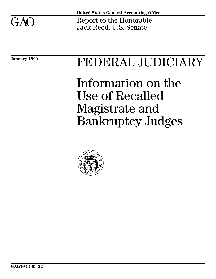

**United States General Accounting Office**

GAO Report to the Honorable Jack Reed, U.S. Senate

**January 1999**

# [FEDERAL JUDICIARY](#page-21-0)

Information on the Use of Recalled Magistrate and Bankruptcy Judges

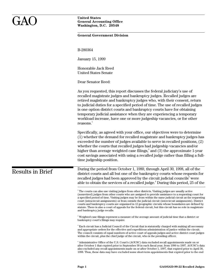<span id="page-2-0"></span>

|                         | <b>United States</b><br><b>General Accounting Office</b><br>Washington, D.C. 20548                                                                                                                                                                                                                                                                                                                                                                                                                                                                                                                                                                                                                            |
|-------------------------|---------------------------------------------------------------------------------------------------------------------------------------------------------------------------------------------------------------------------------------------------------------------------------------------------------------------------------------------------------------------------------------------------------------------------------------------------------------------------------------------------------------------------------------------------------------------------------------------------------------------------------------------------------------------------------------------------------------|
|                         | <b>General Government Division</b>                                                                                                                                                                                                                                                                                                                                                                                                                                                                                                                                                                                                                                                                            |
|                         | B-280364                                                                                                                                                                                                                                                                                                                                                                                                                                                                                                                                                                                                                                                                                                      |
|                         | January 15, 1999                                                                                                                                                                                                                                                                                                                                                                                                                                                                                                                                                                                                                                                                                              |
|                         | Honorable Jack Reed<br><b>United States Senate</b>                                                                                                                                                                                                                                                                                                                                                                                                                                                                                                                                                                                                                                                            |
|                         | Dear Senator Reed:                                                                                                                                                                                                                                                                                                                                                                                                                                                                                                                                                                                                                                                                                            |
|                         | As you requested, this report discusses the federal judiciary's use of<br>recalled magistrate judges and bankruptcy judges. Recalled judges are<br>retired magistrate and bankruptcy judges who, with their consent, return<br>to judicial duties for a specified period of time. The use of recalled judges<br>is one option district courts and bankruptcy courts have for obtaining<br>temporary judicial assistance when they are experiencing a temporary<br>workload increase, have one or more judgeship vacancies, or for other<br>reasons.                                                                                                                                                           |
|                         | Specifically, as agreed with your office, our objectives were to determine<br>(1) whether the demand for recalled magistrate and bankruptcy judges has<br>exceeded the number of judges available to serve in recalled positions, (2)<br>whether the courts that recalled judges had judgeship vacancies and/or<br>higher than average weighted case filings, $^{2}$ and (3) the approximate 1-year<br>cost savings associated with using a recalled judge rather than filling a full-<br>time judgeship position.                                                                                                                                                                                            |
| <b>Results in Brief</b> | During the period from October 1, 1989, through April 30, 1998, all of the<br>district courts and all but one of the bankruptcy courts whose requests for<br>recalled judges had been approved by the circuit judicial councils <sup>3</sup> were<br>able to obtain the services of a recalled judge. <sup>4</sup> During this period, 25 of the                                                                                                                                                                                                                                                                                                                                                              |
|                         | <sup>1</sup> The courts can also use visiting judges from other districts. Visiting judges are usually active<br>(nonretired) judges from other courts who are assigned to provide assistance to a requesting court for<br>a specified period of time. Visiting judges may be from within the same judicial circuit as the requesting<br>court (intracircuit assignments) or from outside the judicial circuit (intercircuit assignments). District<br>courts and bankruptcy courts are organized in 12 geographic circuits whose boundaries are defined by<br>statute. There is also a court of appeals for the federal circuit, but this circuit has no role in magistrate<br>and bankruptcy judge recalls. |
|                         | <sup>2</sup> Weighted case filings represent a measure of the average amount of judicial time that a district or<br>bankruptcy court's filings may require.                                                                                                                                                                                                                                                                                                                                                                                                                                                                                                                                                   |
|                         | <sup>3</sup> Each circuit has a Judicial Council of the Circuit that is statutorily charged with making all necessary<br>and appropriate orders for the effective and expeditious administration of justice within the circuit.<br>The council consists of equal numbers of active court of appeals judges and active district court judges<br>within the circuit, plus the chief judge of the circuit, who is the presiding officer.                                                                                                                                                                                                                                                                         |
|                         | <sup>4</sup> Administrative Office of the U.S. Court's (AOUSC) data excluded recall appointments made on or<br>after October 1 that expired prior to September 30 in each fiscal year, from 1990 to 1997. AOUSC's data<br>also excluded any recall appointments made on or after October 1, 1997, that expired prior to April 30,<br>1998. Thus, these data may have excluded some short-term appointments that expired prior to the end                                                                                                                                                                                                                                                                      |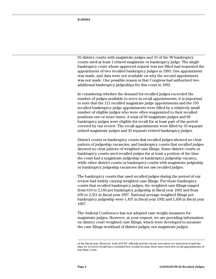92 district courts with magistrate judges and 33 of the 90 bankruptcy courts used at least 1 retired magistrate or bankruptcy judge. The single bankruptcy court whose approved request was not filled had requested the appointment of two recalled bankruptcy judges in 1993. One appointment was made, and data were not available on why the second appointment was not made. One possible reason is that Congress had authorized two additional bankruptcy judgeships for this court in 1992.

In considering whether the demand for recalled judges exceeded the number of judges available to serve in recall appointments, it is important to note that the 111 recalled magistrate judge appointments and the 159 recalled bankruptcy judge appointments were filled by a relatively small number of eligible judges who were often reappointed to their recalled positions one or more times. A total of 96 magistrate judges and 60 bankruptcy judges were eligible for recall for at least part of the period covered by our review. The recall appointments were filled by 33 separate retired magistrate judges and 43 separate retired bankruptcy judges.

District courts or bankruptcy courts that recalled judges showed no clear pattern of judgeship vacancies, and bankruptcy courts that recalled judges showed no clear pattern of weighted case filings. Some district courts or bankruptcy courts used recalled judges for at least a portion of the time the court had a magistrate judgeship or bankruptcy judgeship vacancy, while other district courts or bankruptcy courts with magistrate judgeship or bankruptcy judgeship vacancies did not use recalled judges.

The bankruptcy courts that used recalled judges during the period of our review had widely varying weighted case filings. For those bankruptcy courts that recalled bankruptcy judges, the weighted case filings ranged from 619 to 2,144 per bankruptcy judgeship in fiscal year 1992 and from 639 to 2,321 in fiscal year 1997. National average weighted filings per bankruptcy judgeship were 1,437 in fiscal year 1992 and 1,436 in fiscal year 1997.

The Judicial Conference has not adopted case weight measures for magistrate judges. However, at your request, we are providing information on district court weighted case filings, which were developed to measure the case filings workload of district judges, not magistrate judges.

of the fiscal year. However, both AOUSC officials and the circuit executives we interviewed said the data we received would have excluded few recalls because there have been few recall appointments of less than 1 year.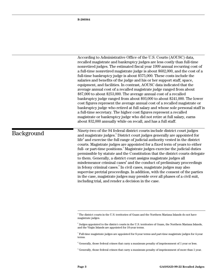According to Administrative Office of the U.S. Courts (AOUSC) data, recalled magistrate and bankruptcy judges are less costly than full-time nonretired judges. The estimated fiscal year 1999 annual recurring cost of a full-time nonretired magistrate judge is about \$602,000, and the cost of a full-time bankruptcy judge is about \$575,000. These costs include the salaries and benefits of the judge and his or her support staff, space, equipment, and facilities. In contrast, AOUSC data indicated that the average annual cost of a recalled magistrate judge ranged from about \$87,000 to about \$253,000. The average annual cost of a recalled bankruptcy judge ranged from about \$93,000 to about \$241,000. The lower cost figures represent the average annual cost of a recalled magistrate or bankruptcy judge who retired at full salary and whose sole personal staff is a full-time secretary. The higher cost figures represent a recalled magistrate or bankruptcy judge who did not retire at full salary, earns about \$32,000 annually while on recall, and has a full staff.

Background

Ninety-two of the 94 federal district courts include district court judges and magistrate judges.<sup>5</sup> District court judges generally are appointed for life $^{\rm 6}$  and exercise the full range of judicial authority vested in the district courts. Magistrate judges are appointed for a fixed term of years to either full- or part-time positions.<sup>7</sup> Magistrate judges exercise the judicial duties permissible by statute and the Constitution that the district courts delegate to them. Generally, a district court assigns magistrate judges all misdemeanor criminal cases $^{\rm s}$  and the conduct of preliminary proceedings in felony criminal cases. $^{\circ}$  In civil cases, magistrate judges may also supervise pretrial proceedings. In addition, with the consent of the parties in the case, magistrate judges may preside over all phases of a civil suit, including trial, and render a decision in the case.

<sup>5</sup> The district courts in the U.S. territories of Guam and the Northern Mariana Islands do not have magistrate judges.

<sup>6</sup> Judges appointed to the district courts in the U.S. territories of Guam, the Northern Mariana Islands, and the Virgin Islands are appointed for 10-year terms.

 $^7$  Full-time magistrate judges are appointed for 8-year terms and part-time magistrate judges for 4-year terms.

<sup>&</sup>lt;sup>8</sup> Generally, those federal crimes that carry a maximum penalty of imprisonment of 1 year or less.

 $^\circ$  Generally, those federal crimes that carry a maximum penalty of imprisonment of more than  $1$  year.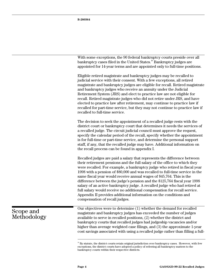With some exceptions, the 90 federal bankruptcy courts preside over all bankruptcy cases filed in the United States.<sup>10</sup> Bankruptcy judges are appointed for 14-year terms and are appointed only to full-time positions.

Eligible retired magistrate and bankruptcy judges may be recalled to judicial service with their consent. With a few exceptions, all retired magistrate and bankruptcy judges are eligible for recall. Retired magistrate and bankruptcy judges who receive an annuity under the Judicial Retirement System (JRS) and elect to practice law are not eligible for recall. Retired magistrate judges who did not retire under JRS, and have elected to practice law after retirement, may continue to practice law if recalled for part-time service, but they may not continue to practice law if recalled to full-time service.

The decision to seek the appointment of a recalled judge rests with the district court or bankruptcy court that determines it needs the services of a recalled judge. The circuit judicial council must approve the request, specify the calendar period of the recall, specify whether the appointment is for full-time or part-time service, and determine the personal support staff, if any, that the recalled judge may have. Additional information on the recall process can be found in appendix I.

Recalled judges are paid a salary that represents the difference between their retirement pensions and the full salary of the office to which they were recalled. For example, a bankruptcy judge who retired in fiscal year 1998 with a pension of \$80,000 and was recalled to full-time service in the same fiscal year would receive annual wages of \$45,764. This is the difference between the judge's pension and the \$125,764 fiscal year 1998 salary of an active bankruptcy judge. A recalled judge who had retired at full salary would receive no additional compensation for recall service. Appendix II provides additional information on the conditions and compensation of recall judges.

Scope and Methodology Our objectives were to determine (1) whether the demand for recalled magistrate and bankruptcy judges has exceeded the number of judges available to serve in recalled positions, (2) whether the district and bankruptcy courts that recalled judges had judgeship vacancies and/or higher than average weighted case filings, and (3) the approximate 1-year cost savings associated with using a recalled judge rather than filling a full-

 $10^{10}$  By statute, the district courts retain original jurisdiction over bankruptcy cases. However, with few exceptions, the district courts have adopted a policy of referring all bankruptcy matters to the bankruptcy courts within their respective districts.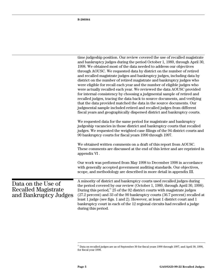|                                                                           | time judgeship position. Our review covered the use of recalled magistrate<br>and bankruptcy judges during the period October 1, 1989, through April 30,<br>1998. We obtained most of the data needed to address our objectives<br>through AOUSC. We requested data by district on the number of retired<br>and recalled magistrate judges and bankruptcy judges, including data by<br>district on the number of retired magistrate and bankruptcy judges who<br>were eligible for recall each year and the number of eligible judges who<br>were actually recalled each year. We reviewed the data AOUSC provided<br>for internal consistency by choosing a judgmental sample of retired and<br>recalled judges, tracing the data back to source documents, and verifying<br>that the data provided matched the data in the source documents. Our<br>judgmental sample included retired and recalled judges from different<br>fiscal years and geographically dispersed district and bankruptcy courts. |
|---------------------------------------------------------------------------|----------------------------------------------------------------------------------------------------------------------------------------------------------------------------------------------------------------------------------------------------------------------------------------------------------------------------------------------------------------------------------------------------------------------------------------------------------------------------------------------------------------------------------------------------------------------------------------------------------------------------------------------------------------------------------------------------------------------------------------------------------------------------------------------------------------------------------------------------------------------------------------------------------------------------------------------------------------------------------------------------------|
|                                                                           | We requested data for the same period for magistrate and bankruptcy<br>judgeship vacancies in those district and bankruptcy courts that recalled<br>judges. We requested the weighted case filings of the 94 district courts and<br>90 bankruptcy courts for fiscal years 1990 through 1997.                                                                                                                                                                                                                                                                                                                                                                                                                                                                                                                                                                                                                                                                                                             |
|                                                                           | We obtained written comments on a draft of this report from AOUSC.<br>These comments are discussed at the end of this letter and are reprinted in<br>appendix VI.                                                                                                                                                                                                                                                                                                                                                                                                                                                                                                                                                                                                                                                                                                                                                                                                                                        |
|                                                                           | Our work was performed from May 1998 to December 1998 in accordance<br>with generally accepted government auditing standards. Our objectives,<br>scope, and methodology are described in more detail in appendix III.                                                                                                                                                                                                                                                                                                                                                                                                                                                                                                                                                                                                                                                                                                                                                                                    |
| Data on the Use of<br><b>Recalled Magistrate</b><br>and Bankruptcy Judges | A minority of district and bankruptcy courts used recalled judges during<br>the period covered by our review (October 1, 1989, through April 30, 1998).<br>During this period, $^{11}$ 25 of the 92 district courts with magistrate judges<br>(27.2 percent) and 33 of the 90 bankruptcy courts (36.7 percent) recalled at<br>least 1 judge (see figs. 1 and 2). However, at least 1 district court and 1<br>bankruptcy court in each of the 12 regional circuits had recalled a judge<br>during this period.                                                                                                                                                                                                                                                                                                                                                                                                                                                                                            |

<sup>11</sup> Data on recalled judges are as of September 30 for fiscal years 1990 through 1997, and April 30, 1998, for fiscal year 1998.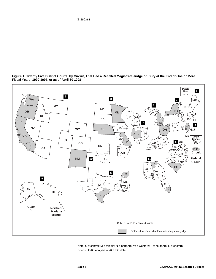<span id="page-7-0"></span>



Note: C = central; M = middle; N = northern; W = western; S = southern; E = eastern Source: GAO analysis of AOUSC data.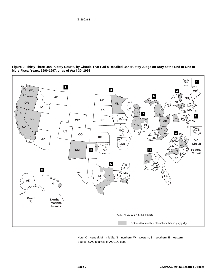<span id="page-8-0"></span>**Figure 2: Thirty-Three Bankruptcy Courts, by Circuit, That Had a Recalled Bankruptcy Judge on Duty at the End of One or More Fiscal Years, 1990-1997, or as of April 30, 1998**



Note: C = central; M = middle; N = northern; W = western; S = southern; E = eastern Source: GAO analysis of AOUSC data.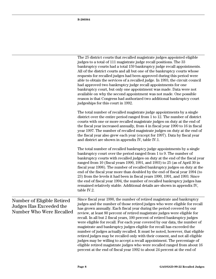|                                                                                          | The 25 district courts that recalled magistrate judges appointed eligible<br>judges to a total of 111 magistrate judge recall positions. The 33<br>bankruptcy courts had a total 159 bankruptcy judge recall appointments.<br>All of the district courts and all but one of the bankruptcy courts whose<br>requests for recalled judges had been approved during this period were<br>able to obtain the services of a recalled judge. In 1993, the circuit council<br>had approved two bankruptcy judge recall appointments for one<br>bankruptcy court, but only one appointment was made. Data were not<br>available on why the second appointment was not made. One possible<br>reason is that Congress had authorized two additional bankruptcy court<br>judgeships for this court in 1992.                                                                                                                                                        |
|------------------------------------------------------------------------------------------|--------------------------------------------------------------------------------------------------------------------------------------------------------------------------------------------------------------------------------------------------------------------------------------------------------------------------------------------------------------------------------------------------------------------------------------------------------------------------------------------------------------------------------------------------------------------------------------------------------------------------------------------------------------------------------------------------------------------------------------------------------------------------------------------------------------------------------------------------------------------------------------------------------------------------------------------------------|
|                                                                                          | The total number of recalled magistrate judge appointments by a single<br>district over the entire period ranged from 1 to 12. The number of district<br>courts with one or more recalled magistrate judges on duty at the end of<br>the fiscal year increased annually, from 4 in fiscal year 1990 to 16 in fiscal<br>year 1997. The number of recalled magistrate judges on duty at the end of<br>the fiscal year also grew each year (except for 1997). Data by fiscal year<br>and district are shown in appendix IV, table IV.1.                                                                                                                                                                                                                                                                                                                                                                                                                   |
|                                                                                          | The total number of recalled bankruptcy judge appointments by a single<br>bankruptcy court over the period ranged from 1 to 9. The number of<br>bankruptcy courts with recalled judges on duty at the end of the fiscal year<br>ranged from 10 (fiscal years 1990, 1991, and 1993) to 25 (as of April 30 in<br>fiscal year 1998). The number of recalled bankruptcy judges on duty at the<br>end of the fiscal year more than doubled by the end of fiscal year 1994 (to<br>23) from the levels it had been in fiscal years 1990, 1991, and 1993. Since<br>the end of fiscal year 1994, the number of recalled bankruptcy judges has<br>remained relatively stable. Additional details are shown in appendix IV,<br>table IV.2.                                                                                                                                                                                                                        |
| Number of Eligible Retired<br>Judges Has Exceeded the<br><b>Number Who Were Recalled</b> | Since fiscal year 1990, the number of retired magistrate and bankruptcy<br>judges and the number of those retired judges who were eligible for recall<br>has grown annually. Each fiscal year during the period covered by our<br>review, at least 80 percent of retired magistrate judges were eligible for<br>recall. In all but 2 fiscal years, 100 percent of retired bankruptcy judges<br>were eligible for recall. For each year covered by our data, the number of<br>magistrate and bankruptcy judges eligible for recall has exceeded the<br>number of judges actually recalled. It must be noted, however, that eligible<br>retired judges may be recalled only with their consent, and not all eligible<br>judges may be willing to accept a recall appointment. The percentage of<br>eligible retired magistrate judges who were recalled ranged from about 16<br>percent at the end of fiscal year 1992 to about 24 percent at the end of |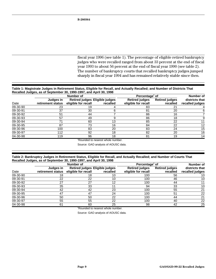fiscal year 1996 (see table 1). The percentage of eligible retired bankruptcy judges who were recalled ranged from about 33 percent at the end of fiscal year 1993 to about 56 percent at the end of fiscal year 1990 (see table 2). The number of bankruptcy courts that recalled bankruptcy judges jumped sharply in fiscal year 1994 and has remained relatively stable since then.

#### <span id="page-10-0"></span>**Table 1: Magistrate Judges in Retirement Status, Eligible for Recall, and Actually Recalled; and Number of Districts That Recalled Judges, as of September 30, 1990-1997, and April 30, 1998**

|                |                                | Number of                                             |          |                                              | Percentage <sup>®</sup> of        |                                   |  |
|----------------|--------------------------------|-------------------------------------------------------|----------|----------------------------------------------|-----------------------------------|-----------------------------------|--|
| Date           | Judges in<br>retirement status | Retired judges Eligible judges<br>eligible for recall | recalled | <b>Retired judges</b><br>eligible for recall | <b>Retired judges</b><br>recalled | districts that<br>recalled judges |  |
| 09-30-90       | 23                             | 19                                                    |          | 83                                           |                                   |                                   |  |
| 09-30-91       | 37                             | 30                                                    |          | 81                                           | 20                                |                                   |  |
| 09-30-92       | 51                             | 44                                                    |          | 86                                           | 16                                |                                   |  |
| $09 - 30 - 93$ | 57                             | 49                                                    |          | 86                                           | 18                                |                                   |  |
| 09-30-94       |                                | 60                                                    | 13       | 85                                           | 22                                | 11                                |  |
| 09-30-95       | 87                             | 73                                                    | 16       | 84                                           | 22                                | 12                                |  |
| 09-30-96       | 100                            | 83                                                    | 20       | 83                                           | 24                                | 15                                |  |
| 09-30-97       | 112                            | 92                                                    | 18       | 82                                           | 20                                | 16                                |  |
| 04-30-98       | 119                            | 96                                                    | 18       | 81                                           | 19                                | 14                                |  |

<sup>a</sup>Rounded to nearest whole number.

Source: GAO analysis of AOUSC data.

#### **Table 2: Bankruptcy Judges in Retirement Status, Eligible for Recall, and Actually Recalled; and Number of Courts That Recalled Judges, as of September 30, 1990-1997, and April 30, 1998**

|          |                                                    | Number of |                                            |                                              | Percentage <sup>ª</sup> of        |                                   |  |
|----------|----------------------------------------------------|-----------|--------------------------------------------|----------------------------------------------|-----------------------------------|-----------------------------------|--|
| Date     | Judges in<br>retirement status eligible for recall |           | Retired judges Eligible judges<br>recalled | <b>Retired judges</b><br>eligible for recall | <b>Retired judges</b><br>recalled | districts that<br>recalled judges |  |
| 09-30-90 | 18                                                 | 18        | 10                                         | 100                                          | 56                                | 10                                |  |
| 09-30-91 | 22                                                 | 22        | 10                                         | 100                                          | 46                                | 10                                |  |
| 09-30-92 | 27                                                 | 27        | 12                                         | 100                                          | 44                                | 11                                |  |
| 09-30-93 | 35                                                 | 33        |                                            | 94                                           | 33                                | 10                                |  |
| 09-30-94 | 42                                                 | 42        | 23                                         | 100                                          | 55                                | 21                                |  |
| 09-30-95 | 47                                                 | 47        | 24                                         | 100                                          | -51                               | 22                                |  |
| 09-30-96 | 50                                                 | 50        | 22                                         | 100                                          | 44                                | 21                                |  |
| 09-30-97 | 55                                                 | 55        | 22                                         | 100                                          | 40                                | 22                                |  |
| 04-30-98 | 61                                                 | 60        | 25                                         | 98                                           | 42                                | 25                                |  |

a Rounded to nearest whole number.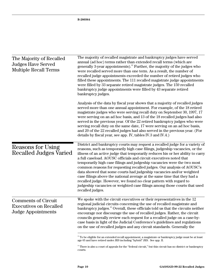| The Majority of Recalled<br><b>Judges Have Served</b><br><b>Multiple Recall Terms</b>    | The majority of recalled magistrate and bankruptcy judges have served<br>annual (ad hoc) terms rather than extended recall terms (which are<br>generally 3-year appointments). <sup>12</sup> Further, the majority of the judges who<br>were recalled served more than one term. As a result, the number of<br>recalled judge appointments exceeded the number of retired judges who<br>filled these appointments. The 111 recalled magistrate judge appointments<br>were filled by 33 separate retired magistrate judges. The 159 recalled<br>bankruptcy judge appointments were filled by 43 separate retired<br>bankruptcy judges.                                                                                                                                                               |  |  |  |  |
|------------------------------------------------------------------------------------------|-----------------------------------------------------------------------------------------------------------------------------------------------------------------------------------------------------------------------------------------------------------------------------------------------------------------------------------------------------------------------------------------------------------------------------------------------------------------------------------------------------------------------------------------------------------------------------------------------------------------------------------------------------------------------------------------------------------------------------------------------------------------------------------------------------|--|--|--|--|
|                                                                                          | Analysis of the data by fiscal year shows that a majority of recalled judges<br>served more than one annual appointment. For example, of the 18 retired<br>magistrate judges who were serving recall duty on September 30, 1997, 17<br>were serving on an ad hoc basis, and 13 of the 18 recalled judges had also<br>served in the previous year. Of the 22 retired bankruptcy judges who were<br>serving recall duty on the same date, 17 were serving on an ad hoc basis,<br>and 20 of the 22 recalled judges had also served in the previous year. (For<br>details by fiscal year, see app. IV, tables IV.3 and IV.4.)                                                                                                                                                                           |  |  |  |  |
| <b>Reasons for Using</b><br>Recalled Judges Varied                                       | District and bankruptcy courts may request a recalled judge for a variety of<br>reasons, such as temporarily high case filings, judgeship vacancies, or the<br>illness of an active judge that temporarily reduces his or her ability to carry<br>a full caseload. AOUSC officials and circuit executives noted that<br>temporarily high case filings and judgeship vacancies were the two most<br>common reasons for requesting recalled judges. Our analysis of AOUSC's<br>data showed that some courts had judgeship vacancies and/or weighted<br>case filings above the national average at the same time that they had a<br>recalled judge. However, we found no clear pattern with regard to<br>judgeship vacancies or weighted case filings among those courts that used<br>recalled judges. |  |  |  |  |
| <b>Comments of Circuit</b><br><b>Executives on Recalled</b><br><b>Judge Appointments</b> | We spoke with the circuit executives or their representatives in the 12<br>regional judicial circuits concerning the use of recalled magistrate and<br>bankruptcy judges. <sup>13</sup> Overall, these officials told us that the circuits neither<br>encourage nor discourage the use of recalled judges. Rather, the circuit<br>councils generally review each request for a recalled judge on a case-by-<br>case basis in light of the Judicial Conference's guidelines and regulations<br>on the use of recalled judges and any circuit standards. Generally the                                                                                                                                                                                                                                |  |  |  |  |
|                                                                                          | $12$ To be eligible for an extended recall appointment, a magistrate or bankruptcy judge must be at least<br>age 65 and have retired under JRS including "hybrid" JRS. See app. II.                                                                                                                                                                                                                                                                                                                                                                                                                                                                                                                                                                                                                 |  |  |  |  |

 $^{13}$  There is also a court of appeals for the "federal circuit," but this circuit has no district or bankruptcy courts.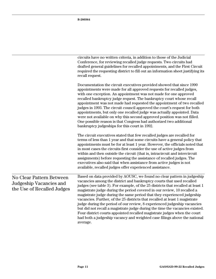|                                                                                   | circuits have no written criteria, in addition to those of the Judicial<br>Conference, for reviewing recalled judge requests. Two circuits had<br>drafted general guidelines for recalled appointments, and the First Circuit<br>required the requesting district to fill out an information sheet justifying its<br>recall request.                                                                                                                                                                                                                                                                                                                                                                                                                                                                      |
|-----------------------------------------------------------------------------------|-----------------------------------------------------------------------------------------------------------------------------------------------------------------------------------------------------------------------------------------------------------------------------------------------------------------------------------------------------------------------------------------------------------------------------------------------------------------------------------------------------------------------------------------------------------------------------------------------------------------------------------------------------------------------------------------------------------------------------------------------------------------------------------------------------------|
|                                                                                   | Documentation the circuit executives provided showed that since 1990<br>appointments were made for all approved requests for recalled judges,<br>with one exception. An appointment was not made for one approved<br>recalled bankruptcy judge request. The bankruptcy court whose recall<br>appointment was not made had requested the appointment of two recalled<br>judges in 1993. The circuit council approved the court's request for both<br>appointments, but only one recalled judge was actually appointed. Data<br>were not available on why this second approved position was not filled.<br>One possible reason is that Congress had authorized two additional<br>bankruptcy judgeships for this court in 1992.                                                                              |
|                                                                                   | The circuit executives stated that few recalled judges are recalled for<br>terms of less than 1 year and that some circuits have a general policy that<br>appointments must be for at least 1 year. However, the officials noted that<br>in most cases the circuits first consider the use of active judges from<br>within and then outside the circuit (that is, intracircuit and intercircuit<br>assignments) before requesting the assistance of recalled judges. The<br>executives also said that when assistance from active judges is not<br>available, recalled judges offer experienced assistance.                                                                                                                                                                                               |
| No Clear Pattern Between<br>Judgeship Vacancies and<br>the Use of Recalled Judges | Based on data provided by AOUSC, we found no clear pattern in judgeship<br>vacancies among the district and bankruptcy courts that used recalled<br>judges (see table 3). For example, of the 25 districts that recalled at least 1<br>magistrate judge during the period covered in our review, 10 recalled a<br>magistrate judge during the same period that they experienced judgeship<br>vacancies. Further, of the 25 districts that recalled at least 1 magistrate<br>judge during the period of our review, 8 experienced judgeship vacancies<br>but did not recall a magistrate judge during the time the vacancies existed.<br>Four district courts appointed recalled magistrate judges when the court<br>had both a judgeship vacancy and weighted case filings above the national<br>average. |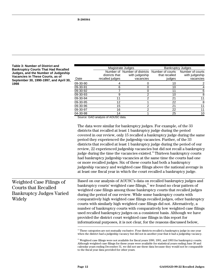<span id="page-13-0"></span>

| Table 3: Number of District and            |
|--------------------------------------------|
| <b>Bankruptcy Courts That Had Recalled</b> |
| Judges, and the Number of Judgeship        |
| Vacancies in These Courts, as of           |
| September 30, 1990-1997, and April 30,     |
| 1998                                       |

|          |                 | Magistrate Judges                              | <b>Bankruptcy Judges</b> |                  |  |
|----------|-----------------|------------------------------------------------|--------------------------|------------------|--|
|          |                 | Number of Number of districts Number of courts |                          | Number of courts |  |
|          | districts that  | with judgeship                                 | that recalled            | with judgeship   |  |
| Date     | recalled judges | vacancies                                      | judges                   | vacancies        |  |
| 09-30-90 | 4               | 0                                              | 10                       | 2                |  |
| 09-30-91 | 6               | 0                                              | 10                       | 4                |  |
| 09-30-92 |                 | 0                                              | 11                       | 6                |  |
| 09-30-93 | 9               | 2                                              | 10                       | 8                |  |
| 09-30-94 | 11              | 2                                              | 21                       | 11               |  |
| 09-30-95 | 12              |                                                | 22                       | 8                |  |
| 09-30-96 | 15              | 2                                              | 21                       | 11               |  |
| 09-30-97 | 16              | 2                                              | 22                       | 11               |  |
| 04-30-98 | 14              |                                                | 25                       | 10               |  |

Source: GAO analysis of AOUSC data.

|                                                                                                      | The data were similar for bankruptcy judges. For example, of the 33<br>districts that recalled at least 1 bankruptcy judge during the period<br>covered in our review, only 15 recalled a bankruptcy judge during the same<br>period they experienced the judgeship vacancies. Further, of the 33<br>districts that recalled at least 1 bankruptcy judge during the period of our<br>review, 22 experienced judgeship vacancies but did not recall a bankruptcy<br>judge during the time the vacancies existed. <sup>14</sup> Thirteen bankruptcy courts<br>had bankruptcy judgeship vacancies at the same time the courts had one<br>or more recalled judges. Six of these courts had both a bankruptcy<br>judgeship vacancy and weighted case filings above the national average in<br>at least one fiscal year in which the court recalled a bankruptcy judge. |
|------------------------------------------------------------------------------------------------------|-------------------------------------------------------------------------------------------------------------------------------------------------------------------------------------------------------------------------------------------------------------------------------------------------------------------------------------------------------------------------------------------------------------------------------------------------------------------------------------------------------------------------------------------------------------------------------------------------------------------------------------------------------------------------------------------------------------------------------------------------------------------------------------------------------------------------------------------------------------------|
| Weighted Case Filings of<br><b>Courts that Recalled</b><br><b>Bankruptcy Judges Varied</b><br>Widely | Based on our analysis of AOUSC's data on recalled bankruptcy judges and<br>bankruptcy courts' weighted case filings, <sup>15</sup> we found no clear pattern of<br>weighted case filings among those bankruptcy courts that recalled judges<br>during the period of our review. While some bankruptcy courts with<br>comparatively high weighted case filings recalled judges, other bankruptcy<br>courts with similarly high weighted case filings did not. Alternatively, a<br>number of bankruptcy courts with comparatively low weighted case filings<br>used recalled bankruptcy judges on a consistent basis. Although we have<br>provided the district court weighted case filings in this report for<br>informational purposes, it is not clear, for the reasons discussed below,                                                                         |

 $^{\rm H}$  These categories are not mutually exclusive. Four districts recalled a bankruptcy judge in one year when the district had a judgeship vacancy but did not in another year that it had a judgeship vacancy.

<sup>&</sup>lt;sup>15</sup> Weighted case filings were not available for fiscal years 1990, 1991, and 1993 for bankruptcy courts. Although weighted case filings for these years were available for statistical years ending June 30 and calendar years ending December 31, we did not use these data because they would not be comparable to the fiscal year data provided for other years.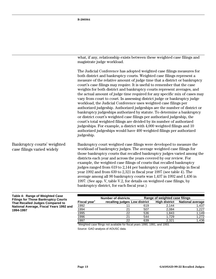<span id="page-14-0"></span>what, if any, relationship exists between these weighted case filings and magistrate judge workload.

The Judicial Conference has adopted weighted case filings measures for both district and bankruptcy courts. Weighted case filings represent a measure of the relative amount of judge time that a district or bankruptcy court's case filings may require. It is useful to remember that the case weights for both district and bankruptcy courts represent averages, and the actual amount of judge time required for any specific mix of cases may vary from court to court. In assessing district judge or bankruptcy judge workload, the Judicial Conference uses weighted case filings per authorized judgeship. Authorized judgeships are the number of district or bankruptcy judgeships authorized by statute. To determine a bankruptcy or district court's weighted case filings per authorized judgeship, the court's total weighted filings are divided by its number of authorized judgeships. For example, a district with 4,000 weighted filings and 10 authorized judgeships would have 400 weighted filings per authorized judgeship.

Bankruptcy court weighted case filings were developed to measure the workload of bankruptcy judges. The average weighted case filings for those bankruptcy courts that recalled bankruptcy judges varied among the districts each year and across the years covered by our review. For example, the weighted case filings of courts that recalled bankruptcy judges ranged from 619 to 2,144 per bankruptcy court judgeship in fiscal year 1992 and from 639 to 2,321 in fiscal year 1997 (see table 4). The average among all 90 bankruptcy courts was 1,437 in 1992 and 1,436 in 1997. (See app. V, table V.2, for details on weighted case filings, by bankruptcy district, for each fiscal year.) Bankruptcy courts' weighted case filings varied widely

**Table 4: Range of Weighted Case Filings for Those Bankruptcy Courts That Recalled Judges Compared to National Average, Fiscal Years 1992 and 1994-1997**

|                          | Range of weighted case filings<br><b>Number of districts</b> |     |                      |                         |  |
|--------------------------|--------------------------------------------------------------|-----|----------------------|-------------------------|--|
| Fiscal year <sup>a</sup> | recalling judges Low district                                |     | <b>High district</b> | <b>National average</b> |  |
| 1992                     |                                                              | 619 | 2.144                | 1,437                   |  |
| 1994                     | 21                                                           | 507 | 2,084                | 1,227                   |  |
| 1995                     | 22                                                           | 536 | 1.843                | 1,149                   |  |
| 1996                     | 21                                                           | 544 | 1.729                | 1,272                   |  |
| 1997                     | 22                                                           | 639 | 2.321                | 1,436                   |  |

<sup>a</sup>Weighted case filings not available for fiscal years 1990, 1991, and 1993.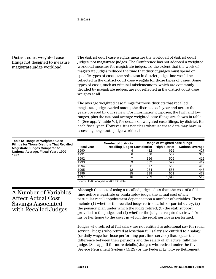| District court weighted case<br>filings not designed to measure<br>magistrate judge workload     | The district court case weights measure the workload of district court<br>judges, not magistrate judges. The Conference has not adopted a weighted<br>workload measure for magistrate judges. To the extent that the work of<br>magistrate judges reduced the time that district judges must spend on<br>specific types of cases, the reduction in district judge time would be<br>reflected in the district court case weights for those types of cases. Some<br>types of cases, such as criminal misdemeanors, which are commonly<br>decided by magistrate judges, are not reflected in the district court case<br>weights at all. |                                                                                                                                                                                                                                                                                                                                                                                                                                                                                                                                                                                                                                                                                                                                                                                                                                                                                                                                                                                                                                      |                  |                                |                         |
|--------------------------------------------------------------------------------------------------|--------------------------------------------------------------------------------------------------------------------------------------------------------------------------------------------------------------------------------------------------------------------------------------------------------------------------------------------------------------------------------------------------------------------------------------------------------------------------------------------------------------------------------------------------------------------------------------------------------------------------------------|--------------------------------------------------------------------------------------------------------------------------------------------------------------------------------------------------------------------------------------------------------------------------------------------------------------------------------------------------------------------------------------------------------------------------------------------------------------------------------------------------------------------------------------------------------------------------------------------------------------------------------------------------------------------------------------------------------------------------------------------------------------------------------------------------------------------------------------------------------------------------------------------------------------------------------------------------------------------------------------------------------------------------------------|------------------|--------------------------------|-------------------------|
|                                                                                                  |                                                                                                                                                                                                                                                                                                                                                                                                                                                                                                                                                                                                                                      | The average weighted case filings for those districts that recalled<br>magistrate judges varied among the districts each year and across the<br>years covered by our review. For information purposes, the high and low<br>ranges, plus the national average weighted case filings are shown in table<br>5. (See app. V, table V.1, for details on weighted case filings, by district, for<br>each fiscal year. However, it is not clear what use these data may have in<br>assessing magistrate judge workload.                                                                                                                                                                                                                                                                                                                                                                                                                                                                                                                     |                  |                                |                         |
| Table 5: Range of Weighted Case                                                                  |                                                                                                                                                                                                                                                                                                                                                                                                                                                                                                                                                                                                                                      | <b>Number of districts</b>                                                                                                                                                                                                                                                                                                                                                                                                                                                                                                                                                                                                                                                                                                                                                                                                                                                                                                                                                                                                           |                  | Range of weighted case filings |                         |
| <b>Filings for Those Districts That Recalled</b><br><b>Magistrate Judges Compared to</b>         | <b>Fiscal year</b>                                                                                                                                                                                                                                                                                                                                                                                                                                                                                                                                                                                                                   | recalling judges Low district                                                                                                                                                                                                                                                                                                                                                                                                                                                                                                                                                                                                                                                                                                                                                                                                                                                                                                                                                                                                        |                  | <b>High district</b>           | <b>National average</b> |
| National Average, Fiscal Years 1990-                                                             | 1990                                                                                                                                                                                                                                                                                                                                                                                                                                                                                                                                                                                                                                 | 4                                                                                                                                                                                                                                                                                                                                                                                                                                                                                                                                                                                                                                                                                                                                                                                                                                                                                                                                                                                                                                    | 412              | 695                            | 427                     |
| 1997                                                                                             | 1991                                                                                                                                                                                                                                                                                                                                                                                                                                                                                                                                                                                                                                 | 6                                                                                                                                                                                                                                                                                                                                                                                                                                                                                                                                                                                                                                                                                                                                                                                                                                                                                                                                                                                                                                    | 338              | 507                            | 386                     |
|                                                                                                  | 1992                                                                                                                                                                                                                                                                                                                                                                                                                                                                                                                                                                                                                                 | $\overline{7}$                                                                                                                                                                                                                                                                                                                                                                                                                                                                                                                                                                                                                                                                                                                                                                                                                                                                                                                                                                                                                       | 356              | 506                            | 412                     |
|                                                                                                  | 1993                                                                                                                                                                                                                                                                                                                                                                                                                                                                                                                                                                                                                                 | 9                                                                                                                                                                                                                                                                                                                                                                                                                                                                                                                                                                                                                                                                                                                                                                                                                                                                                                                                                                                                                                    | 382              | 522                            | 419                     |
|                                                                                                  | 1994                                                                                                                                                                                                                                                                                                                                                                                                                                                                                                                                                                                                                                 | 11                                                                                                                                                                                                                                                                                                                                                                                                                                                                                                                                                                                                                                                                                                                                                                                                                                                                                                                                                                                                                                   | $\overline{377}$ | 560                            | 419                     |
|                                                                                                  | 1995                                                                                                                                                                                                                                                                                                                                                                                                                                                                                                                                                                                                                                 | $\overline{12}$                                                                                                                                                                                                                                                                                                                                                                                                                                                                                                                                                                                                                                                                                                                                                                                                                                                                                                                                                                                                                      | 264              | 585                            | 448                     |
|                                                                                                  | 1996                                                                                                                                                                                                                                                                                                                                                                                                                                                                                                                                                                                                                                 | 15                                                                                                                                                                                                                                                                                                                                                                                                                                                                                                                                                                                                                                                                                                                                                                                                                                                                                                                                                                                                                                   | 298              | 651                            | 472                     |
|                                                                                                  | 1997                                                                                                                                                                                                                                                                                                                                                                                                                                                                                                                                                                                                                                 | 16<br>Source: GAO analysis of AOUSC data.                                                                                                                                                                                                                                                                                                                                                                                                                                                                                                                                                                                                                                                                                                                                                                                                                                                                                                                                                                                            | 259              | 1,649                          | 519                     |
| A Number of Variables<br><b>Affect Actual Cost</b><br>Savings Associated<br>with Recalled Judges |                                                                                                                                                                                                                                                                                                                                                                                                                                                                                                                                                                                                                                      | Although the cost of using a recalled judge is less than the cost of a full-<br>time active magistrate or bankruptcy judge, the actual cost of any<br>particular recall appointment depends upon a number of variables. These<br>include $(1)$ whether the recalled judge retired at full or partial salary, $(2)$<br>the pension plan under which the judge retired, $(3)$ the staff support<br>provided to the judge, and (4) whether the judge is required to travel from<br>his or her home to the court in which the recall service is performed.<br>Judges who retired at full salary are not entitled to additional pay for recall<br>service. Judges who retired at less than full salary are entitled to a salary<br>(or daily wage for those performing part-time service) that equals the<br>difference between their pensions and the salary of an active, full-time<br>judge. (See app. II for more details.) Judges who retired under the Civil<br>Service Retirement System (CSRS) or the Federal Employee Retirement |                  |                                |                         |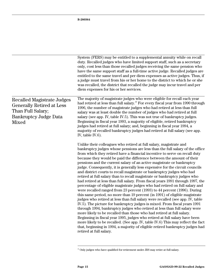|                                                                                                                                            | System (FERS) may be entitled to a supplemental annuity while on recall<br>duty. Recalled judges who have limited support staff, such as a secretary<br>only, cost less than those recalled judges receiving the same pension who<br>have the same support staff as a full-time active judge. Recalled judges are<br>entitled to the same travel and per diem expenses as active judges. Thus, if<br>a judge must travel from his or her home to the district to which he or she<br>was recalled, the district that recalled the judge may incur travel and per<br>diem expenses for his or her services.                                                                                                                                                                                                                                                                                                                                                                                                                                                                                                                                                                                                                                                                                                                                                                                                                                                                                                                                            |
|--------------------------------------------------------------------------------------------------------------------------------------------|------------------------------------------------------------------------------------------------------------------------------------------------------------------------------------------------------------------------------------------------------------------------------------------------------------------------------------------------------------------------------------------------------------------------------------------------------------------------------------------------------------------------------------------------------------------------------------------------------------------------------------------------------------------------------------------------------------------------------------------------------------------------------------------------------------------------------------------------------------------------------------------------------------------------------------------------------------------------------------------------------------------------------------------------------------------------------------------------------------------------------------------------------------------------------------------------------------------------------------------------------------------------------------------------------------------------------------------------------------------------------------------------------------------------------------------------------------------------------------------------------------------------------------------------------|
| <b>Recalled Magistrate Judges</b><br><b>Generally Retired at Less</b><br>Than Full Salary;<br><b>Bankruptcy Judge Data</b><br><b>Mixed</b> | The majority of magistrate judges who were eligible for recall each year<br>had retired at less than full salary. <sup>16</sup> For every fiscal year from 1990 through<br>1996, the number of magistrate judges who had retired at less than full<br>salary was at least double the number of judges who had retired at full<br>salary (see app. IV, table IV.5). This was not true of bankruptcy judges.<br>Beginning in fiscal year 1993, a majority of eligible, retired bankruptcy<br>judges had retired at full salary; and, beginning in fiscal year 1994, a<br>majority of recalled bankruptcy judges had retired at full salary (see app.<br>IV, table IV.6).                                                                                                                                                                                                                                                                                                                                                                                                                                                                                                                                                                                                                                                                                                                                                                                                                                                                               |
|                                                                                                                                            | Unlike their colleagues who retired at full salary, magistrate and<br>bankruptcy judges whose pensions are less than the full salary of the office<br>from which they retired have a financial incentive to serve on recall duty<br>because they would be paid the difference between the amount of their<br>pensions and the current salary of an active magistrate or bankruptcy<br>judge. Consequently, it is generally less expensive for the circuit councils<br>and district courts to recall magistrate or bankruptcy judges who had<br>retired at full salary than to recall magistrate or bankruptcy judges who<br>had retired at less than full salary. From fiscal years 1991 through 1997, the<br>percentage of eligible magistrate judges who had retired on full salary and<br>were recalled ranged from 23 percent (1993) to 44 percent (1996). During<br>this same period, no more than 19 percent (in 1991) of eligible magistrate<br>judges who retired at less than full salary were recalled (see app. IV, table<br>IV.5). The picture for bankruptcy judges is mixed. From fiscal years 1991<br>through 1994, bankruptcy judges who retired at less than full salary were<br>more likely to be recalled than those who had retired at full salary.<br>Beginning in fiscal year 1995, judges who retired at full salary have been<br>more likely to be recalled. (See app. IV, table IV.6) This may reflect the fact<br>that, beginning in 1994, a majority of eligible retired bankruptcy judges had<br>retired at full salary. |

 $^{\rm 16}$  Only judges who have qualified for retirement under JRS may retire at full salary.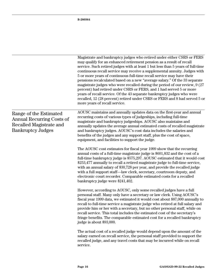|                                                                                                                   | Magistrate and bankruptcy judges who retired under either CSRS or FERS<br>may qualify for an enhanced retirement pension as a result of recall<br>service. Such retired judges with at least 1 but less than 5 years of full-time<br>continuous recall service may receive a supplemental annuity. Judges with<br>5 or more years of continuous full-time recall service may have their<br>pensions recalculated based on a new "average salary." Of the 33 separate<br>magistrate judges who were recalled during the period of our review, 9 (27)<br>percent) had retired under CSRS or FERS, and 1 had served 5 or more<br>years of recall service. Of the 43 separate bankruptcy judges who were<br>recalled, 12 (28 percent) retired under CSRS or FERS and 8 had served 5 or<br>more years of recall service. |
|-------------------------------------------------------------------------------------------------------------------|---------------------------------------------------------------------------------------------------------------------------------------------------------------------------------------------------------------------------------------------------------------------------------------------------------------------------------------------------------------------------------------------------------------------------------------------------------------------------------------------------------------------------------------------------------------------------------------------------------------------------------------------------------------------------------------------------------------------------------------------------------------------------------------------------------------------|
| Range of the Estimated<br><b>Annual Recurring Costs of</b><br>Recalled Magistrate and<br><b>Bankruptcy Judges</b> | AOUSC maintains and annually updates data on the first-year and annual<br>recurring costs of various types of judgeships, including full-time<br>magistrate and bankruptcy judgeships. AOUSC also maintains and<br>annually updates the average annual estimated costs of recalled magistrate<br>and bankruptcy judges. AOUSC's cost data includes the salaries and<br>benefits of the judges and any support staff, plus the cost of space,<br>equipment, and facilities to support the judge.                                                                                                                                                                                                                                                                                                                     |
|                                                                                                                   | The AOUSC cost estimates for fiscal year 1999 show that the recurring<br>annual costs of a full-time magistrate judge is \$601,832 and the cost of a<br>full-time bankruptcy judge is \$575,297. AOUSC estimated that it would cost<br>\$253,477 annually to recall a retired magistrate judge to full-time service,<br>with an annual salary of \$30,728 per year, and provide the recalled judge<br>with a full support staff-law clerk, secretary, courtroom deputy, and<br>electronic court recorder. Comparable estimated costs for a recalled<br>bankruptcy judge were \$241,402.                                                                                                                                                                                                                             |
|                                                                                                                   | However, according to AOUSC, only some recalled judges have a full<br>personal staff. Many only have a secretary or law clerk. Using AOUSC's<br>fiscal year 1999 data, we estimated it would cost about \$87,000 annually to<br>recall to full-time service a magistrate judge who retired at full salary and<br>provide him or her with a secretary, but no other personal staff, while on<br>recall service. This total includes the estimated cost of the secretary's<br>fringe benefits. The comparable estimated cost for a recalled bankruptcy<br>judge is about \$93,000.                                                                                                                                                                                                                                    |
|                                                                                                                   | The actual cost of a recalled judge would depend upon the amount of the<br>salary earned on recall service, the personal staff provided to support the<br>recalled judge, and any travel costs that may be incurred while on recall<br>service.                                                                                                                                                                                                                                                                                                                                                                                                                                                                                                                                                                     |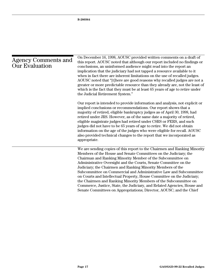| <b>Agency Comments and</b><br><b>Our Evaluation</b> | On December 16, 1998, AOUSC provided written comments on a draft of<br>this report. AOUSC noted that although our report included no findings or<br>conclusions, an uninformed audience might read into the report an<br>implication that the judiciary had not tapped a resource available to it<br>when in fact there are inherent limitations on the use of recalled judges.<br>AOUSC noted that "[t]here are good reasons why recalled judges are not a<br>greater or more predictable resource than they already are, not the least of<br>which is the fact that they must be at least 65 years of age to retire under<br>the Judicial Retirement System."                                                        |
|-----------------------------------------------------|------------------------------------------------------------------------------------------------------------------------------------------------------------------------------------------------------------------------------------------------------------------------------------------------------------------------------------------------------------------------------------------------------------------------------------------------------------------------------------------------------------------------------------------------------------------------------------------------------------------------------------------------------------------------------------------------------------------------|
|                                                     | Our report is intended to provide information and analysis, not explicit or<br>implied conclusions or recommendations. Our report shows that a<br>majority of retired, eligible bankruptcy judges as of April 30, 1998, had<br>retired under JRS. However, as of the same date a majority of retired,<br>eligible magistrate judges had retired under CSRS or FERS, and such<br>judges did not have to be 65 years of age to retire. We did not obtain<br>information on the age of the judges who were eligible for recall. AOUSC<br>also provided technical changes to the report that we incorporated as<br>appropriate.                                                                                            |
|                                                     | We are sending copies of this report to the Chairmen and Ranking Minority<br>Members of the House and Senate Committees on the Judiciary; the<br>Chairman and Ranking Minority Member of the Subcommittee on<br>Administrative Oversight and the Courts, Senate Committee on the<br>Judiciary; the Chairmen and Ranking Minority Members of the<br>Subcommittee on Commercial and Administrative Law and Subcommittee<br>on Courts and Intellectual Property, House Committee on the Judiciary;<br>the Chairmen and Ranking Minority Members of the Subcommittee on<br>Commerce, Justice, State, the Judiciary, and Related Agencies, House and<br>Senate Committees on Appropriations; Director, AOUSC; and the Chief |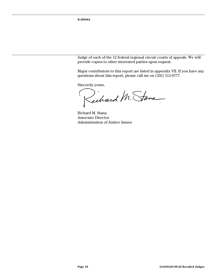Judge of each of the 12 federal regional circuit courts of appeals. We will provide copies to other interested parties upon request.

Major contributors to this report are listed in appendix VII. If you have any questions about this report, please call me on (202) 512-8777.

Sincerely yours,

Richard M. Sana

Richard M. Stana Associate Director Administration of Justice Issues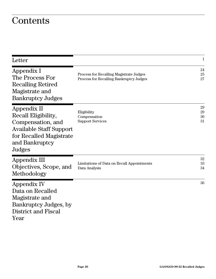### <span id="page-21-0"></span>**Contents**

| Letter                                                                                                                                           |                                                                                    | $\mathbf{1}$         |
|--------------------------------------------------------------------------------------------------------------------------------------------------|------------------------------------------------------------------------------------|----------------------|
| Appendix I<br>The Process For<br><b>Recalling Retired</b><br>Magistrate and<br><b>Bankruptcy Judges</b>                                          | Process for Recalling Magistrate Judges<br>Process for Recalling Bankruptcy Judges | 24<br>25<br>27       |
| Appendix II<br>Recall Eligibility,<br>Compensation, and<br><b>Available Staff Support</b><br>for Recalled Magistrate<br>and Bankruptcy<br>Judges | Eligibility<br>Compensation<br><b>Support Services</b>                             | 29<br>29<br>30<br>31 |
| Appendix III<br>Objectives, Scope, and<br>Methodology                                                                                            | Limitations of Data on Recall Appointments<br>Data Analysis                        | 32<br>33<br>34       |
| Appendix IV<br>Data on Recalled<br>Magistrate and<br>Bankruptcy Judges, by<br>District and Fiscal<br>Year                                        |                                                                                    | 36                   |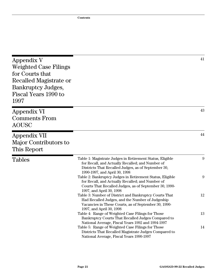| Appendix V<br><b>Weighted Case Filings</b><br>for Courts that<br>Recalled Magistrate or<br>Bankruptcy Judges,<br>Fiscal Years 1990 to<br>1997 |                                                                                                                                                                                                       | 41 |
|-----------------------------------------------------------------------------------------------------------------------------------------------|-------------------------------------------------------------------------------------------------------------------------------------------------------------------------------------------------------|----|
| Appendix VI<br><b>Comments From</b><br><b>AOUSC</b>                                                                                           |                                                                                                                                                                                                       | 43 |
| Appendix VII<br>Major Contributors to<br>This Report                                                                                          |                                                                                                                                                                                                       | 44 |
| <b>Tables</b>                                                                                                                                 | Table 1: Magistrate Judges in Retirement Status, Eligible<br>for Recall, and Actually Recalled; and Number of<br>Districts That Recalled Judges, as of September 30,<br>1990-1997, and April 30, 1998 | 9  |
|                                                                                                                                               | Table 2: Bankruptcy Judges in Retirement Status, Eligible<br>for Recall, and Actually Recalled; and Number of<br>Courts That Recalled Judges, as of September 30, 1990-<br>1997, and April 30, 1998   | 9  |
|                                                                                                                                               | Table 3: Number of District and Bankruptcy Courts That<br>Had Recalled Judges, and the Number of Judgeship<br>Vacancies in These Courts, as of September 30, 1990-<br>1997, and April 30, 1998        | 12 |
|                                                                                                                                               | Table 4: Range of Weighted Case Filings for Those<br>Bankruptcy Courts That Recalled Judges Compared to<br>National Average, Fiscal Years 1992 and 1994-1997                                          | 13 |
|                                                                                                                                               | Table 5: Range of Weighted Case Filings for Those<br>Districts That Recalled Magistrate Judges Compared to<br>National Average, Fiscal Years 1990-1997                                                | 14 |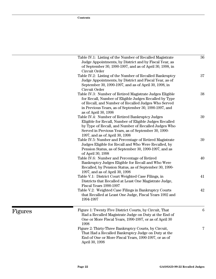| Table IV.1: Listing of the Number of Recalled Magistrate | 36               |
|----------------------------------------------------------|------------------|
| Judge Appointments, by District and by Fiscal Year, as   |                  |
| of September 30, 1990-1997, and as of April 30, 1998, in |                  |
| Circuit Order                                            |                  |
| Table IV.2: Listing of the Number of Recalled Bankruptcy | 37               |
| Judge Appointments, by District and Fiscal Year, as of   |                  |
| September 30, 1990-1997, and as of April 30, 1998, in    |                  |
| Circuit Order                                            |                  |
| Table IV.3: Number of Retired Magistrate Judges Eligible | 38               |
| for Recall, Number of Eligible Judges Recalled by Type   |                  |
| of Recall, and Number of Recalled Judges Who Served      |                  |
| in Previous Years, as of September 30, 1990-1997, and    |                  |
| as of April 30, 1998                                     |                  |
| Table IV.4: Number of Retired Bankruptcy Judges          | 39               |
| Eligible for Recall, Number of Eligible Judges Recalled  |                  |
| by Type of Recall, and Number of Recalled Judges Who     |                  |
| Served in Previous Years, as of September 30, 1990-      |                  |
| 1997, and as of April 30, 1998                           |                  |
| Table IV.5: Number and Percentage of Retired Magistrate  | 39               |
| Judges Eligible for Recall and Who Were Recalled, by     |                  |
| Pension Status, as of September 30, 1990-1997, and as    |                  |
| of April 30, 1998                                        |                  |
| Table IV.6: Number and Percentage of Retired             | 40               |
| Bankruptcy Judges Eligible for Recall and Who Were       |                  |
| Recalled, by Pension Status, as of September 30, 1990-   |                  |
| 1997, and as of April 30, 1998                           |                  |
| Table V.1: District Court Weighted Case Filings, in      | 41               |
| Districts that Recalled at Least One Magistrate Judge,   |                  |
| Fiscal Years 1990-1997                                   |                  |
| Table V.2: Weighted Case Filings in Bankruptcy Courts    | 42               |
| that Recalled at Least One Judge, Fiscal Years 1992 and  |                  |
| 1994-1997                                                |                  |
|                                                          |                  |
| Figure 1: Twenty Five District Courts, by Circuit, That  | $\boldsymbol{6}$ |
| Had a Recalled Magistrate Judge on Duty at the End of    |                  |
| One or More Fiscal Years, 1990-1997, or as of April 30   |                  |
| 1998                                                     |                  |
| Figure 2: Thirty-Three Bankruptcy Courts, by Circuit,    | 7                |
| That Had a Recalled Bankruptcy Judge on Duty at the      |                  |
| End of One or More Fiscal Years, 1990-1997, or as of     |                  |
| April 30, 1998                                           |                  |
|                                                          |                  |

Figures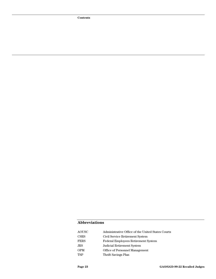**Contents**

#### **Abbreviations**

| AOUSC       | Administrative Office of the United States Courts |
|-------------|---------------------------------------------------|
| <b>CSRS</b> | Civil Service Retirement System                   |
| <b>FERS</b> | <b>Federal Employees Retirement System</b>        |
| JRS         | Judicial Retirement System                        |
| <b>OPM</b>  | Office of Personnel Management                    |
| <b>TSP</b>  | Thrift Savings Plan                               |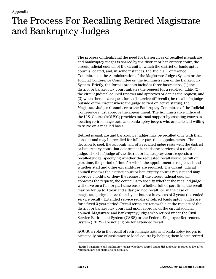### <span id="page-25-0"></span>The Process For Recalling Retired Magistrate and Bankruptcy Judges

The process of identifying the need for the services of recalled magistrate and bankruptcy judges is shared by the district or bankruptcy court, the circuit judicial council of the circuit in which the district or bankruptcy court is located, and, in some instances, the Judicial Conference Committee on the Administration of the Magistrate Judges System or the Judicial Conference Committee on the Administration of the Bankruptcy System. Briefly, the formal process includes three basic steps: (1) the district or bankruptcy court initiates the request for a recalled judge, (2) the circuit judicial council reviews and approves or denies the request, and (3) when there is a request for an "intercircuit" recall (the recall of a judge outside of the circuit where the judge served on active status), the Magistrate Judges Committee or the Bankruptcy Committee of the Judicial Conference must approve the appointment. The Administrative Office of the U.S. Courts (AOUSC) provides informal support by assisting courts in locating retired magistrate and bankruptcy judges who are able and willing to serve on a recalled basis.

Retired magistrate and bankruptcy judges may be recalled only with their consent and may be recalled for full- or part-time appointments.<sup>1</sup> The decision to seek the appointment of a recalled judge rests with the district or bankruptcy court that determines it needs the services of a recalled judge. The chief judge of the district or bankruptcy court requests a recalled judge, specifying whether the requested recall would be full or part time, the period of time for which the appointment is requested, and whether staff and other expenditures are required. The circuit judicial council reviews the district court or bankruptcy court's request and may approve, modify, or deny the request. If the circuit judicial council approves the request, the council is to specify whether the recalled judge will serve on a full- or part-time basis. Whether full or part time, the recall may be for up to 1 year and a day (ad hoc recall) or, in the case of magistrate judges, more than 1 year but not in excess of 3 years (extended service recall). Extended service recalls of retired bankruptcy judges are for a fixed 3-year period. Recall terms are renewable at the request of the district or bankruptcy court and upon approval of the circuit judicial council. Magistrate and bankruptcy judges who retired under the Civil Service Retirement System (CSRS) or the Federal Employee Retirement System (FERS) are not eligible for extended recall.

AOUSC's role in the recall of retired magistrate and bankruptcy judges is principally one of assistance to local courts by helping them locate retired

<sup>&</sup>lt;sup>1</sup> Retired magistrate and bankruptcy judges who have retired under JRS and elect to practice law after retirement are not eligible to be recalled.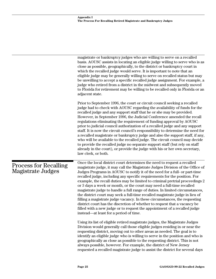<span id="page-26-0"></span>

|                                                   | magistrate or bankruptcy judges who are willing to serve on a recalled<br>basis. AOUSC assists in locating an eligible judge willing to serve who is as<br>close as possible, geographically, to the district or bankruptcy court in<br>which the recalled judge would serve. It is important to note that an<br>eligible judge may be generally willing to serve on recalled status but may<br>be unwilling to accept a specific recalled judge assignment. For example, a<br>judge who retired from a district in the midwest and subsequently moved<br>to Florida for retirement may be willing to be recalled only in Florida or an<br>adjacent state.                                                                                                                                                                                                                                                                     |
|---------------------------------------------------|--------------------------------------------------------------------------------------------------------------------------------------------------------------------------------------------------------------------------------------------------------------------------------------------------------------------------------------------------------------------------------------------------------------------------------------------------------------------------------------------------------------------------------------------------------------------------------------------------------------------------------------------------------------------------------------------------------------------------------------------------------------------------------------------------------------------------------------------------------------------------------------------------------------------------------|
|                                                   | Prior to September 1996, the court or circuit council seeking a recalled<br>judge had to check with AOUSC regarding the availability of funds for the<br>recalled judge and any support staff that he or she may be provided.<br>However, in September 1996, the Judicial Conference amended the recall<br>regulations eliminating the requirement of funding approval by AOUSC<br>prior to judicial council authorization of a recalled judge and any support<br>staff. It is now the circuit council's responsibility to determine the need for<br>a recalled magistrate or bankruptcy judge and also the support staff, if any,<br>who will be available to the recalled judge. The circuit council may decide<br>to provide the recalled judge no separate support staff (but rely on staff<br>already in the court), or provide the judge with his or her own secretary,<br>law clerk, or both.                           |
| <b>Process for Recalling</b><br>Magistrate Judges | Once the local district court determines the need to request a recalled<br>magistrate judge, it may call the Magistrate Judges Division of the Office of<br>Judges Programs in AOUSC to notify it of the need for a full- or part-time<br>recalled judge, including any specific requirements for the position. For<br>example, the recall duties may be limited to criminal pretrial proceedings 2<br>or 3 days a week or month, or the court may need a full-time recalled<br>magistrate judge to handle a full range of duties. In limited circumstances,<br>the district court may seek a full-time recalled magistrate judge in lieu of<br>filling a magistrate judge vacancy. In these circumstances, the requesting<br>district court has the discretion of whether to request that a vacancy be<br>filled with a new judge or to request the appointment of a recalled judge<br>instead—at least for a period of time. |
|                                                   | Using its list of eligible retired magistrate judges, the Magistrate Judges<br>Division would generally call those eligible judges residing in or near the<br>requesting district, moving out to other areas as needed. The goal is to<br>identify an eligible judge who is willing to serve in the position and who is<br>geographically as close as possible to the requesting district. This is not<br>always possible, however. For example, the district of New Jersey<br>requested a recalled magistrate judge to assist the district for several days                                                                                                                                                                                                                                                                                                                                                                   |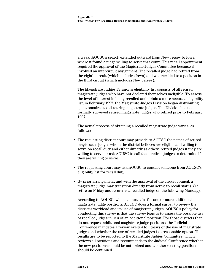a week. AOUSC's search extended outward from New Jersey to Iowa, where it found a judge willing to serve that court. This recall appointment required the approval of the Magistrate Judges Committee because it involved an intercircuit assignment. The recalled judge had retired from the eighth circuit (which includes Iowa) and was recalled to a position in the third circuit (which includes New Jersey).

The Magistrate Judges Division's eligibility list consists of all retired magistrate judges who have not declared themselves ineligible. To assess the level of interest in being recalled and obtain a more accurate eligibility list, in February 1997, the Magistrate Judges Division began distributing questionnaires to all retiring magistrate judges. The Division has not formally surveyed retired magistrate judges who retired prior to February 1997.

The actual process of obtaining a recalled magistrate judge varies, as follows:

- The requesting district court may provide to AOUSC the names of retired magistrates judges whom the district believes are eligible and willing to serve on recall duty and either directly ask these retired judges if they are willing to serve or ask AOUSC to call these retired judges to determine if they are willing to serve.
- The requesting court may ask AOUSC to contact someone from AOUSC's eligibility list for recall duty.
- By prior arrangement, and with the approval of the circuit council, a magistrate judge may transition directly from active to recall status, (i.e., retire on Friday and return as a recalled judge on the following Monday).

According to AOUSC, when a court asks for one or more additional magistrate judge positions, AOUSC does a formal survey to review the district's workload and its use of magistrate judges. AOUSC's policy for conducting this survey is that the survey team is to assess the possible use of recalled judges in lieu of an additional position. For those districts that do not request additional magistrate judge positions, the Judicial Conference mandates a review every 4 to 5 years of the use of magistrate judges and whether the use of recalled judges is a reasonable option. The results are to be reported to the Magistrate Judges Committee, which reviews all positions and recommends to the Judicial Conference whether the new positions should be authorized and whether existing positions should be continued.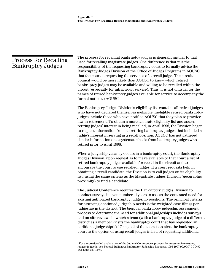<span id="page-28-0"></span>

| <b>Process for Recalling</b><br><b>Bankruptcy Judges</b> | The process for recalling bankruptcy judges is generally similar to that<br>used for recalling magistrate judges. One difference is that it is the<br>responsibility of the requesting bankruptcy court to formally advise the<br>Bankruptcy Judges Division of the Office of Judges Programs in AOUSC<br>that the court is requesting the services of a recall judge. The circuit<br>council would be more likely than AOUSC to know which retired<br>bankruptcy judges may be available and willing to be recalled within the<br>circuit (especially for intracircuit service). Thus, it is not unusual for the<br>names of retired bankruptcy judges available for service to accompany the<br>formal notice to AOUSC.                                                                        |
|----------------------------------------------------------|--------------------------------------------------------------------------------------------------------------------------------------------------------------------------------------------------------------------------------------------------------------------------------------------------------------------------------------------------------------------------------------------------------------------------------------------------------------------------------------------------------------------------------------------------------------------------------------------------------------------------------------------------------------------------------------------------------------------------------------------------------------------------------------------------|
|                                                          | The Bankruptcy Judges Division's eligibility list contains all retired judges<br>who have not declared themselves ineligible. Ineligible retired bankruptcy<br>judges include those who have notified AOUSC that they plan to practice<br>law in retirement. To obtain a more accurate eligibility list and assess<br>retiring judges' interest in being recalled, in April 1998, the Division began<br>to request information from all retiring bankruptcy judges that included a<br>judge's interest in serving in a recall position. AOUSC has not gathered<br>similar information on a systematic basis from bankruptcy judges who<br>retired prior to April 1998.                                                                                                                           |
|                                                          | When a judgeship vacancy occurs in a bankruptcy court, the Bankruptcy<br>Judges Division, upon request, is to make available to that court a list of<br>retired bankruptcy judges available for recall in the circuit and to<br>encourage the court to use recalled judges. If a court requests help in<br>obtaining a recall candidate, the Division is to call judges on its eligibility<br>list, using the same criteria as the Magistrate Judges Division (geographic<br>proximity) to find a candidate.                                                                                                                                                                                                                                                                                     |
|                                                          | The Judicial Conference requires the Bankruptcy Judges Division to<br>conduct surveys in even numbered years to assess the continued need for<br>existing authorized bankruptcy judgeship positions. The principal criteria<br>for assessing continued judgeship needs is the weighted case filings per<br>judgeship in the district. The biennial bankruptcy judgeship assessment<br>process to determine the need for additional judgeships includes surveys<br>and on-site reviews in which a team (with a bankruptcy judge of a different<br>district as a member) visits the bankruptcy court that has requested an<br>additional judgeship(s). <sup>2</sup> One goal of the team is to alert the bankruptcy<br>court to the option of using recall judges in lieu of requesting additional |
|                                                          |                                                                                                                                                                                                                                                                                                                                                                                                                                                                                                                                                                                                                                                                                                                                                                                                  |

 $\rm ^2$  For a more detailed explanation of the Judicial Conference's process for assessing bankruptcy judgeship needs, see <u>Federal Judiciary: Bankruptcy Judgeship Requests, 1993-1997</u> (GAO/T-GGD-97-183, Sept. 22, 1997).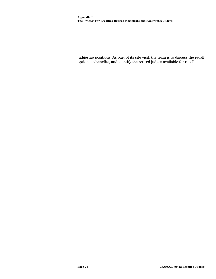judgeship positions. As part of its site visit, the team is to discuss the recall option, its benefits, and identify the retired judges available for recall.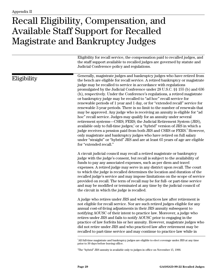### <span id="page-30-0"></span>Recall Eligibility, Compensation, and Available Staff Support for Recalled Magistrate and Bankruptcy Judges

Eligibility for recall service, the compensation paid to recalled judges, and the staff support available to recalled judges are governed by statute and Judicial Conference policy and regulations.

#### Eligibility

Generally, magistrate judges and bankruptcy judges who have retired from the bench are eligible for recall service. A retired bankruptcy or magistrate judge may be recalled to service in accordance with regulations promulgated by the Judicial Conference under 28 U.S.C. §§ 155 (b) and 636 (h), respectively. Under the Conference's regulations, a retired magistrate or bankruptcy judge may be recalled to "ad hoc" recall service for renewable periods of 1 year and 1 day, or for "extended recall" service for renewable 3-year periods. There is no limit to the number of renewals that may be approved. Any judge who is receiving an annuity is eligible for "ad hoc" recall service. Judges may qualify for an annuity under several retirement systems—CSRS; FERS; the Judicial Retirement System (JRS), available only to full-time judges; $^!$  or a "hybrid" version of JRS in which a judge receives a pension paid from both JRS and CSRS or FERS. $^{\rm 2}$  However, only magistrate and bankruptcy judges who have retired on full salary under "straight" or "hybrid" JRS and are at least 65 years of age are eligible for "extended recall."

A circuit judicial council may recall a retired magistrate or bankruptcy judge with the judge's consent, but recall is subject to the availability of funds to pay any associated expenses, such as per diem and travel expenses. A retired judge may serve in any district upon recall. The court to which the judge is recalled determines the location and duration of the recalled judge's service and may impose limitations on the scope of service provided on recall. The term of recall may be for full- or part-time service and may be modified or terminated at any time by the judicial council of the circuit in which the judge is recalled.

A judge who retires under JRS and who practices law after retirement is not eligible for recall service. Nor are such retired judges eligible for any annual cost-of-living adjustments in their JRS annuity subsequent to notifying AOUSC of their intent to practice law. Moreover, a judge who retires under JRS and fails to notify AOUSC prior to engaging in the practice of law forfeits his or her annuity. However, magistrate judges who did not retire under JRS and who practiced law after retirement may be recalled to part-time service and may continue to practice law while in

<sup>1</sup> All full-time magistrate and bankruptcy judges are eligible to elect coverage under JRS at any time prior to 30 days before leaving office.

<sup>2</sup> The "hybrid" JRS annuity is available only to judges in office on November 15, 1988.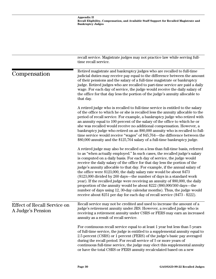<span id="page-31-0"></span>

|                                                         | recall service. Magistrate judges may not practice law while serving full-<br>time recall service.                                                                                                                                                                                                                                                                                                                                                                                                                                                                                                                                                                                                                                                                                                                                                                          |
|---------------------------------------------------------|-----------------------------------------------------------------------------------------------------------------------------------------------------------------------------------------------------------------------------------------------------------------------------------------------------------------------------------------------------------------------------------------------------------------------------------------------------------------------------------------------------------------------------------------------------------------------------------------------------------------------------------------------------------------------------------------------------------------------------------------------------------------------------------------------------------------------------------------------------------------------------|
| Compensation                                            | Retired magistrate and bankruptcy judges who are recalled to full-time<br>judicial duties may receive pay equal to the difference between the amount<br>of their pensions and the salary of a full-time magistrate or bankruptcy<br>judge. Retired judges who are recalled to part-time service are paid a daily<br>wage. For each day of service, the judge would receive the daily salary of<br>the office for that day less the portion of the judge's annuity allocable to<br>that day.                                                                                                                                                                                                                                                                                                                                                                                 |
|                                                         | A retired judge who is recalled to full-time service is entitled to the salary<br>of the office to which he or she is recalled less the annuity allocable to the<br>period of recall service. For example, a bankruptcy judge who retired with<br>an annuity equal to 100 percent of the salary of the office to which he or<br>she was recalled would receive no additional compensation. However, a<br>bankruptcy judge who retired on an \$80,000 annuity who is recalled to full-<br>time service would receive "wages" of \$45,764—the difference between the<br>\$80,000 annuity and the \$125,764 salary of a full-time bankruptcy judge.                                                                                                                                                                                                                            |
|                                                         | A retired judge may also be recalled on a less than full-time basis, referred<br>to as "when actually employed." In such cases, the recalled judge's salary<br>is computed on a daily basis. For each day of service, the judge would<br>receive the daily salary of the office for that day less the portion of the<br>judge's annuity allocable to that day. For example, if the annual salary of<br>the office were $$123,000$ , the daily salary rate would be about $$473$<br>(\$123,000 divided by 260 days—the number of days in a standard work<br>year). If the recalled judge were receiving an annuity of \$80,000, the daily<br>proportion of the annuity would be about \$222 (\$80,000/360 days—the<br>number of days using 12, 30-day calendar months). Thus, the judge would<br>receive about \$251 per day for each day of recall service (\$473 - \$222). |
| <b>Effect of Recall Service on</b><br>A Judge's Pension | Recall service may not be credited and used to increase the amount of a<br>judge's retirement annuity under JRS. However, a recalled judge who is<br>receiving a retirement annuity under CSRS or FERS may earn an increased<br>annuity as a result of recall service.                                                                                                                                                                                                                                                                                                                                                                                                                                                                                                                                                                                                      |
|                                                         | For continuous recall service equal to at least 1 year but less than 5 years<br>of full-time service, the judge is entitled to a supplemental annuity equal to<br>2.5 percent (CSRS) or 1 percent (FERS) of the judge's basic pay averaged<br>during the recall period. For recall service of 5 or more years of<br>continuous full-time service, the judge may elect this supplemental annuity<br>or have the total CSRS or FERS annuity recalculated based on a new                                                                                                                                                                                                                                                                                                                                                                                                       |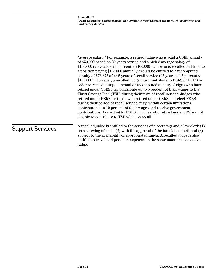<span id="page-32-0"></span>

|                         | "average salary." For example, a retired judge who is paid a CSRS annuity<br>of \$50,000 based on 20 years service and a high-3 average salary of<br>$$100,000$ (20 years x 2.5 percent x $$100,000$ ) and who is recalled full time to<br>a position paying \$123,000 annually, would be entitled to a recomputed<br>annuity of \$76,875 after 5 years of recall service $(25 \text{ years} \times 2.5 \text{ percent} \times$<br>\$123,000). However, a recalled judge must contribute to CSRS or FERS in<br>order to receive a supplemental or recomputed annuity. Judges who have<br>retired under CSRS may contribute up to 5 percent of their wages to the<br>Thrift Savings Plan (TSP) during their term of recall service. Judges who<br>retired under FERS, or those who retired under CSRS, but elect FERS<br>during their period of recall service, may, within certain limitations,<br>contribute up to 10 percent of their wages and receive government<br>contributions. According to AOUSC, judges who retired under JRS are not<br>eligible to contribute to TSP while on recall. |
|-------------------------|---------------------------------------------------------------------------------------------------------------------------------------------------------------------------------------------------------------------------------------------------------------------------------------------------------------------------------------------------------------------------------------------------------------------------------------------------------------------------------------------------------------------------------------------------------------------------------------------------------------------------------------------------------------------------------------------------------------------------------------------------------------------------------------------------------------------------------------------------------------------------------------------------------------------------------------------------------------------------------------------------------------------------------------------------------------------------------------------------|
| <b>Support Services</b> | A recalled judge is entitled to the services of a secretary and a law clerk (1)<br>on a showing of need, $(2)$ with the approval of the judicial council, and $(3)$<br>subject to the availability of appropriated funds. A recalled judge is also<br>entitled to travel and per diem expenses in the same manner as an active<br>judge.                                                                                                                                                                                                                                                                                                                                                                                                                                                                                                                                                                                                                                                                                                                                                          |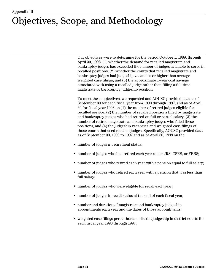### <span id="page-33-0"></span>Objectives, Scope, and Methodology

Our objectives were to determine for the period October 1, 1989, through April 30, 1998, (1) whether the demand for recalled magistrate and bankruptcy judges has exceeded the number of judges available to serve in recalled positions, (2) whether the courts that recalled magistrate and bankruptcy judges had judgeship vacancies or higher than average weighted case filings, and (3) the approximate 1-year cost savings associated with using a recalled judge rather than filling a full-time magistrate or bankruptcy judgeship position.

To meet these objectives, we requested and AOUSC provided data as of September 30 for each fiscal year from 1990 through 1997, and as of April 30 for fiscal year 1998 on (1) the number of retired judges eligible for recalled service, (2) the number of recalled positions filled by magistrate and bankruptcy judges who had retired on full or partial salary, (3) the number of retired magistrate and bankruptcy judges who filled these positions, and (4) the judgeship vacancies and weighted case filings of those courts that used recalled judges. Specifically, AOUSC provided data as of September 30, 1990 to 1997 and as of April 30, 1998 on the

- number of judges in retirement status;
- number of judges who had retired each year under JRS, CSRS, or FERS;
- number of judges who retired each year with a pension equal to full salary;
- number of judges who retired each year with a pension that was less than full salary;
- number of judges who were eligible for recall each year;
- number of judges in recall status at the end of each fiscal year;
- number and duration of magistrate and bankruptcy judgeship appointments each year and the dates of those appointments;
- weighted case filings per authorized district judgeship in district courts for each fiscal year 1990 through 1997;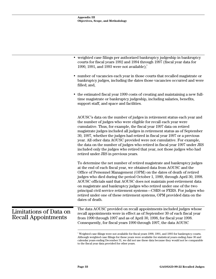<span id="page-34-0"></span>

|                                                      | • weighted case filings per authorized bankruptcy judgeship in bankruptcy<br>courts for fiscal years 1992 and 1994 through 1997 (fiscal year data for<br>1990, 1991, and 1993 were not available);                                                                                                                                                                                                                                                                                                                                                                                                                                                        |
|------------------------------------------------------|-----------------------------------------------------------------------------------------------------------------------------------------------------------------------------------------------------------------------------------------------------------------------------------------------------------------------------------------------------------------------------------------------------------------------------------------------------------------------------------------------------------------------------------------------------------------------------------------------------------------------------------------------------------|
|                                                      | • number of vacancies each year in those courts that recalled magistrate or<br>bankruptcy judges, including the dates those vacancies occurred and were<br>filled; and,                                                                                                                                                                                                                                                                                                                                                                                                                                                                                   |
|                                                      | • the estimated fiscal year 1999 costs of creating and maintaining a new full-<br>time magistrate or bankruptcy judgeship, including salaries, benefits,<br>support staff, and space and facilities.                                                                                                                                                                                                                                                                                                                                                                                                                                                      |
|                                                      | AOUSC's data on the number of judges in retirement status each year and<br>the number of judges who were eligible for recall each year were<br>cumulative. Thus, for example, the fiscal year 1997 data on retired<br>magistrate judges included all judges in retirement status as of September<br>30, 1997, whether the judges had retired in fiscal year 1997 or a previous<br>year. All other data AOUSC provided were not cumulative. For example,<br>the data on the number of judges who retired in fiscal year 1997 under JRS<br>included only the judges who retired that year, not those judges who had<br>retired under JRS in previous years. |
|                                                      | To determine the net number of retired magistrate and bankruptcy judges<br>at the end of each fiscal year, we obtained data from AOUSC and the<br>Office of Personnel Management (OPM) on the dates of death of retired<br>judges who died during the period October 1, 1989, through April 30, 1998.<br>AOUSC officials said that AOUSC does not maintain post-retirement data<br>on magistrate and bankruptcy judges who retired under one of the two<br>principal civil service retirement systems-CSRS or FERS. For judges who<br>retired under one of these retirement systems, OPM provided data on the<br>dates of death.                          |
| Limitations of Data on<br><b>Recall Appointments</b> | The data AOUSC provided on recall appointments included judges whose<br>recall appointments were in effect as of September 30 of each fiscal year<br>from 1990 through 1997 and as of April 30, 1998, for fiscal year 1998.<br>Consequently, for fiscal years 1990 through 1997, the data AOUSC                                                                                                                                                                                                                                                                                                                                                           |
|                                                      | $^1$ Weighted case filings were not available for fiscal years 1990, 1991, and 1993 for bankruptcy courts.<br>Although weighted case filings for these years were available for statistical years ending June 30 and                                                                                                                                                                                                                                                                                                                                                                                                                                      |

Although weighted case filings for these years were available for statistical years ending June 30 and calendar years ending December 31, we did not use these data because they would not be comparable to the fiscal year data provided for other years.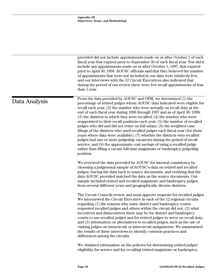<span id="page-35-0"></span>

|               | provided did not include appointments made on or after October 1 of each<br>fiscal year that expired prior to September 30 of each fiscal year. Nor did it<br>include any appointments made on or after October 1, 1997, that expired<br>prior to April 30, 1998. AOUSC officials said that they believed the number<br>of appointments that were not included in our data were relatively few,<br>and our interviews with the 12 Circuit Executives also indicated that<br>during the period of our review there were few recall appointments of less<br>than 1 year.                                                                                                                                                                                                                                                                                                                                                                                   |
|---------------|----------------------------------------------------------------------------------------------------------------------------------------------------------------------------------------------------------------------------------------------------------------------------------------------------------------------------------------------------------------------------------------------------------------------------------------------------------------------------------------------------------------------------------------------------------------------------------------------------------------------------------------------------------------------------------------------------------------------------------------------------------------------------------------------------------------------------------------------------------------------------------------------------------------------------------------------------------|
| Data Analysis | From the data provided by AOUSC and OPM, we determined (1) the<br>percentage of retired judges whom AOUSC data indicated were eligible for<br>recall each year; (2) the number who were actually on recall duty at the<br>end of each fiscal year during 1990 through 1997 and as of April 30, 1998;<br>$(3)$ the districts to which they were recalled; $(4)$ the number who were<br>reappointed to their recall positions each year; (5) the number of recalled<br>judges who did and did not retire on full salary; (6) the weighted case<br>filings of the districts who used recalled judges each fiscal year (for those<br>years where data were available); (7) whether the districts who recalled<br>judges had one or more judgeship vacancies during the period of recall<br>service; and (8) the approximate cost savings of using a recalled judge<br>rather than filling a vacant full-time magistrate or bankruptcy judgeship<br>position. |
|               | We reviewed the data provided by AOUSC for internal consistency by<br>choosing a judgmental sample of AOUSC's data on retired and recalled<br>judges, tracing the data back to source documents, and verifying that the<br>data AOUSC provided matched the data on the source documents. Our<br>sample included retired and recalled magistrate and bankruptcy judges<br>from several different years and geographically diverse districts.                                                                                                                                                                                                                                                                                                                                                                                                                                                                                                              |
|               | The Circuit Councils review and must approve requests for recalled judges.<br>We interviewed the Circuit Executive in each of the 12 regional circuits<br>regarding (1) the reasons why some district and bankruptcy courts<br>requested recalled judges and others within the circuit did not; (2) what<br>incentives and disincentives there may be for district and bankruptcy<br>courts to use recalled judges and for retired judges to serve on recall duty;<br>and (3) information on alternatives to recalled judges, such as the use of<br>visiting judges on intracircuit or intercircuit assignments. We summarized<br>the results of these interviews to identify common practices and<br>differences among the circuits.                                                                                                                                                                                                                    |
|               | We obtained information on the policies for determining retired judges'<br>eligibility for service and for recalling retired magistrate or bankruptcy                                                                                                                                                                                                                                                                                                                                                                                                                                                                                                                                                                                                                                                                                                                                                                                                    |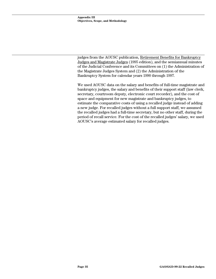judges from the AOUSC publication, Retirement Benefits for Bankruptcy Judges and Magistrate Judges (1995 edition), and the semiannual minutes of the Judicial Conference and its Committees on (1) the Administration of the Magistrate Judges System and (2) the Administration of the Bankruptcy System for calendar years 1990 through 1997.

We used AOUSC data on the salary and benefits of full-time magistrate and bankruptcy judges, the salary and benefits of their support staff (law clerk, secretary, courtroom deputy, electronic court recorder), and the cost of space and equipment for new magistrate and bankruptcy judges, to estimate the comparative costs of using a recalled judge instead of adding a new judge. For recalled judges without a full support staff, we assumed the recalled judges had a full-time secretary, but no other staff, during the period of recall service. For the cost of the recalled judges' salary, we used AOUSC's average estimated salary for recalled judges.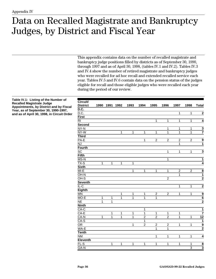#### <span id="page-37-0"></span>Data on Recalled Magistrate and Bankruptcy Judges, by District and Fiscal Year

This appendix contains data on the number of recalled magistrate and bankruptcy judge positions filled by districts as of September 30, 1990, through 1997 and as of April 30, 1998, (tables IV.1 and IV.2). Tables IV.3 and IV.4 show the number of retired magistrate and bankruptcy judges who were recalled for ad hoc recall and extended recalled service each year. Tables IV.5 and IV.6 contain data on the pension status of the judges eligible for recall and those eligible judges who were recalled each year during the period of our review.

| Table IV.1: Listing of the Number of           |
|------------------------------------------------|
| <b>Recalled Magistrate Judge</b>               |
| <b>Appointments, by District and by Fiscal</b> |
| Year, as of September 30, 1990-1997,           |
| and as of April 30, 1998, in Circuit Order     |

| Circuit/               |              |                |                |                |                |                |                |                |                |                              |
|------------------------|--------------|----------------|----------------|----------------|----------------|----------------|----------------|----------------|----------------|------------------------------|
| <b>District</b>        |              | 1990 1991 1992 |                | 1993           | 1994           | 1995           | 1996           | 1997           | 1998           | <b>Total</b>                 |
| D.C.                   |              |                |                |                |                |                |                |                |                |                              |
| $\overline{D.C.}$      |              |                |                |                |                |                |                | $\overline{1}$ | $\overline{1}$ | $\overline{\mathbf{2}}$      |
| <b>First</b>           |              |                |                |                |                |                |                |                |                |                              |
| R <sub>l</sub>         |              |                |                |                |                | 1              | $\mathbf{1}$   | 1              | 1              | $\overline{\mathbf{4}}$      |
| Second                 |              |                |                |                |                |                |                |                |                |                              |
| $NY-N$                 |              |                |                |                |                |                | 1              | 1              | 1              | $\frac{3}{7}$                |
| NY-W                   |              |                | 1              | 1              | 1              | 1              | $\overline{1}$ | $\overline{1}$ | $\overline{1}$ |                              |
| <b>Third</b>           |              |                |                |                |                |                |                |                |                |                              |
| $PA-E$                 |              |                |                |                | 1              | $\overline{2}$ | $\overline{2}$ | $\overline{2}$ | $\overline{2}$ | $\frac{9}{1}$                |
| $\overline{N}$         |              |                |                |                |                |                |                | 1              |                |                              |
| <b>Fourth</b>          |              |                |                |                |                |                |                |                |                |                              |
| $\overline{SC}$        |              |                |                |                |                |                | 1              | 1              | 1              | $\overline{\mathbf{3}}$      |
| <b>Fifth</b>           |              |                |                |                |                |                |                |                |                |                              |
| $MS-N$                 |              |                |                |                |                |                | 1              |                |                | $\overline{1}$               |
| TX-S                   | $\mathbf{1}$ | 1              | 1              | 1              |                |                |                |                |                | $\overline{4}$               |
| <b>Sixth</b>           |              |                |                |                |                |                |                |                |                |                              |
| $M-E$                  |              |                |                | 1              | 1              | 1              | 1              | $\overline{c}$ | $\overline{2}$ |                              |
| OH-N                   |              |                |                |                |                |                |                | 1              |                | $\frac{8}{1}$                |
| $OH-S$                 |              |                |                |                |                |                | $\overline{2}$ |                |                |                              |
| <b>Seventh</b>         |              |                |                |                |                |                |                |                |                |                              |
| $IL-C$                 |              |                |                |                |                |                |                | 1              | 1              | $\overline{2}$               |
| Eighth                 |              |                |                |                |                |                |                |                |                |                              |
| <b>MN</b>              |              |                | 1              | $\overline{1}$ | $\mathbf{1}$   | $\overline{2}$ | $\overline{2}$ | 1              | 1              |                              |
| MO-E                   | $\mathbf{1}$ | $\overline{1}$ | $\overline{1}$ | 1              | 1              | 1              |                |                |                |                              |
| $\overline{\text{NE}}$ | 1            | 1              |                |                |                |                |                |                |                | $\frac{9}{6}$ $\frac{2}{2}$  |
| <b>Ninth</b>           |              |                |                |                |                |                |                |                |                |                              |
| $CA-C$                 |              |                |                |                | 1              |                |                |                |                | $\overline{1}$               |
| $CA-E$                 |              | 1              | 1              | 1              | 1              | 1              | 1              | 1              |                | 7                            |
| CA-N                   | 1            | 1              | $\overline{1}$ | $\mathbf{1}$   | $\overline{2}$ | $\overline{2}$ | $\overline{2}$ | 1              | 1              | $\frac{12}{1}$ $\frac{9}{2}$ |
| CA-S                   |              |                |                |                | 1              |                |                |                |                |                              |
| <b>OR</b>              |              |                |                | 1              | $\overline{c}$ | $\overline{c}$ | $\overline{c}$ | 1              | 1              |                              |
| WA-E                   |              |                |                |                |                | 1              | 1              |                |                |                              |
| <b>Tenth</b>           |              |                |                |                |                |                |                |                |                |                              |
| $\overline{\text{NM}}$ |              |                |                |                |                | 1              | 1              | 1              | 1              | $\overline{4}$               |
| <b>Eleventh</b>        |              |                |                |                |                |                |                |                |                |                              |
| $FL-S$                 |              | 1              | 1              | 1              | 1              | 1              | 1              | 1              | 1              | $\frac{8}{3}$                |
| GA-N                   |              |                |                |                |                |                |                |                | $\overline{3}$ |                              |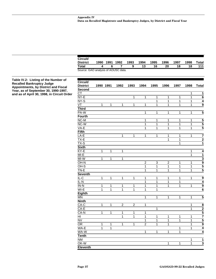|                 |          |      |      | a    | 13   | 16   | 20   | 18   | 18   | 111          |
|-----------------|----------|------|------|------|------|------|------|------|------|--------------|
|                 |          |      |      |      |      |      |      |      |      |              |
| <b>District</b> | 1990     | 1991 | 1992 | 1993 | 1994 | 1995 | 1996 | 1997 | 1998 | <b>Total</b> |
|                 |          |      |      |      |      |      |      |      |      |              |
|                 | Circuit/ |      |      |      |      |      |      |      |      |              |

<span id="page-38-0"></span>

| Table IV.2: Listing of the Number of<br><b>Recalled Bankruptcy Judge</b> | Circuit/               |              |                |                |                |                   |                              |                              |                              |                                |                           |
|--------------------------------------------------------------------------|------------------------|--------------|----------------|----------------|----------------|-------------------|------------------------------|------------------------------|------------------------------|--------------------------------|---------------------------|
| Appointments, by District and Fiscal                                     | <b>District</b>        | 1990 1991    |                | 1992           | 1993           | 1994              | 1995                         | 1996                         | 1997                         | 1998                           | <b>Total</b>              |
| Year, as of September 30, 1990-1997,                                     | Second                 |              |                |                |                |                   |                              |                              |                              |                                |                           |
| and as of April 30, 1998, in Circuit Order                               | $\overline{CT}$        |              |                |                |                |                   |                              |                              |                              | 1                              | 1                         |
|                                                                          | NY-E<br>$NY-S$         |              |                |                | $\mathbf{1}$   | $\mathbf{1}$      | $\mathbf{1}$<br>$\mathbf{1}$ | $\mathbf{1}$<br>$\mathbf{1}$ | $\mathbf{1}$<br>$\mathbf{1}$ | $\mathbf{1}$                   | $\overline{6}$            |
|                                                                          |                        |              |                |                |                |                   |                              |                              |                              | 1                              | $\overline{4}$            |
|                                                                          | $\overline{\text{VT}}$ | $\mathbf{1}$ | $\mathbf{1}$   | $\mathbf{1}$   | $\mathbf{1}$   | $\mathbf{1}$      | $\mathbf{1}$                 | $\mathbf{1}$                 | $\mathbf{1}$                 | $\mathbf{1}$                   | $\overline{9}$            |
|                                                                          | <b>Third</b><br>PA-W   |              |                |                |                |                   |                              |                              |                              |                                |                           |
|                                                                          |                        |              |                |                |                | 1                 | $\mathbf{1}$                 | $\mathbf{1}$                 | $\mathbf{1}$                 | 1                              | 5                         |
|                                                                          | <b>Fourth</b>          |              |                |                |                |                   |                              |                              |                              |                                |                           |
|                                                                          | $NC-M$<br>$NC-W$       |              |                |                |                | $\mathbf{1}$<br>1 | 1<br>$\overline{1}$          | 1<br>$\overline{1}$          | 1<br>$\overline{1}$          | $\mathbf{1}$<br>$\overline{1}$ | $\overline{\overline{5}}$ |
|                                                                          |                        |              |                |                |                |                   |                              |                              |                              |                                | $\overline{\mathbf{5}}$   |
|                                                                          | $VA-E$                 |              |                |                |                | 1                 | $\mathbf{1}$                 | $\mathbf 1$                  | $\mathbf{1}$                 | $\mathbf{1}$                   | $\overline{\mathbf{5}}$   |
|                                                                          | <b>Fifth</b>           |              |                |                |                |                   |                              |                              |                              |                                |                           |
|                                                                          | $LA-E$                 |              |                | 1              | $\mathbf{1}$   | 1                 | $\mathbf{1}$                 | 1                            | $\mathbf{1}$                 | $\mathbf{1}$                   | $\overline{7}$            |
|                                                                          | $TX-E$                 |              |                |                |                |                   |                              | $\mathbf{1}$                 | $\overline{1}$               |                                | $\overline{\mathbf{2}}$   |
|                                                                          | $TX-S$                 |              |                |                |                |                   |                              |                              | $\mathbf{1}$                 |                                | $\overline{\mathbf{1}}$   |
|                                                                          | <b>Sixth</b>           |              |                |                |                |                   |                              |                              |                              |                                |                           |
|                                                                          | KY-E                   | 1            | $\mathbf 1$    | 1              |                |                   |                              |                              |                              | 1                              | $\overline{4}$            |
|                                                                          | $M - E$                |              |                |                |                |                   |                              |                              |                              | $\mathbf{1}$                   | $\overline{1}$            |
|                                                                          | $M-W$                  | 1            | 1              | 1              |                |                   |                              |                              |                              |                                | $\overline{\mathbf{3}}$   |
|                                                                          | OH-N                   |              |                |                |                | $\overline{c}$    | 3                            | $\overline{\mathbf{c}}$      | 1                            | $\mathbf{1}$                   |                           |
|                                                                          | $OH-S$                 |              |                |                |                | $\mathbf{1}$      | $\mathbf 1$                  | $\mathbf{1}$                 | $\mathbf{1}$                 | $\mathbf{1}$                   | $\frac{9}{5}$             |
|                                                                          | $TN-E$                 |              |                |                |                | 1                 | $\mathbf{1}$                 | $\overline{1}$               | $\mathbf{1}$                 | $\mathbf{1}$                   |                           |
|                                                                          | <b>Seventh</b>         |              |                |                |                |                   |                              |                              |                              |                                |                           |
|                                                                          | $\overline{IL-C}$      | $\mathbf{1}$ | $\mathbf 1$    | 1              | 1              | $\mathbf{1}$      | $\mathbf 1$                  | $\mathbf{1}$                 | $\mathbf{1}$                 | $\mathbf{1}$                   | 9                         |
|                                                                          | $IL-N$                 |              |                |                |                | 1                 | $\overline{1}$               | $\overline{1}$               | $\mathbf{1}$                 |                                | 4                         |
|                                                                          | $IN-N$                 | 1            | 1              | 1              | 1              | 1                 | $\mathbf{1}$                 | 1                            | $\mathbf{1}$                 | 1                              | $\overline{9}$            |
|                                                                          | $WI-E$                 | $\mathbf{1}$ | $\mathbf{1}$   | $\mathbf{1}$   | 1              | $\mathbf 1$       | $\mathbf{1}$                 |                              |                              |                                | $\overline{6}$            |
|                                                                          | Eighth                 |              |                |                |                |                   |                              |                              |                              |                                |                           |
|                                                                          | <b>MN</b>              |              |                |                |                | 1                 | $\mathbf{1}$                 | $\mathbf{1}$                 | $\mathbf{1}$                 | $\mathbf{1}$                   | $\overline{5}$            |
|                                                                          | <b>Ninth</b>           |              |                |                |                |                   |                              |                              |                              |                                |                           |
|                                                                          | $CA-C$                 | 1            | $\mathbf{1}$   | $\overline{2}$ | $\overline{2}$ | 1                 |                              |                              |                              | 1                              | $\overline{\mathbf{8}}$   |
|                                                                          | $CA-E$                 |              |                |                |                |                   | $\mathbf{1}$                 |                              |                              | $\mathbf{1}$                   | $\frac{2}{5}$             |
|                                                                          | $CA-N$                 | $\mathbf{1}$ | $\mathbf 1$    | 1              | $\mathbf{1}$   | $\mathbf{1}$      |                              |                              |                              |                                |                           |
|                                                                          | HI                     |              |                | $\mathbf{1}$   | $\mathbf{1}$   | $\mathbf 1$       | $\mathbf{1}$                 | $\mathbf{1}$                 | $\mathbf{1}$                 | $\mathbf{1}$                   |                           |
|                                                                          | N <sub>V</sub>         |              |                |                |                | 1                 | $\mathbf{1}$                 | $\mathbf 1$                  | $\mathbf{1}$                 | 1                              | $\frac{5}{9}$             |
|                                                                          | $\overline{OR}$        | 1            | $\mathbf{1}$   | $\mathbf{1}$   | $\mathbf{1}$   | $\overline{c}$    | $\mathbf{1}$                 | $\mathbf{1}$                 |                              | $\mathbf{1}$                   |                           |
|                                                                          | WA-E                   | $\mathbf{1}$ | $\overline{1}$ |                |                |                   |                              |                              | 1                            | $\overline{1}$                 | 4                         |
|                                                                          | WA-W                   |              |                |                |                | 1                 | $\mathbf{1}$                 | $\mathbf{1}$                 | $\mathbf{1}$                 |                                | $\overline{\mathbf{4}}$   |
|                                                                          | <b>Tenth</b>           |              |                |                |                |                   |                              |                              |                              |                                |                           |
|                                                                          | <b>NM</b>              |              |                |                |                |                   |                              |                              |                              | 1                              | 1                         |
|                                                                          | $OK-W$                 |              |                |                |                |                   |                              | 1                            | 1                            | 1                              | $\overline{\mathbf{3}}$   |
|                                                                          | <b>Eleventh</b>        |              |                |                |                |                   |                              |                              |                              |                                |                           |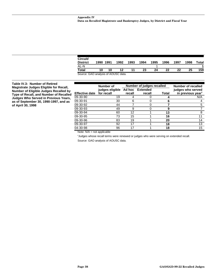| Circuit/        |      |      |      |      |      |      |      |      |      |       |
|-----------------|------|------|------|------|------|------|------|------|------|-------|
| <b>District</b> | 1990 | 1991 | 1992 | 1993 | 1994 | 1995 | 1996 | 1997 | 1998 | Total |
| AL-N            |      |      |      |      |      |      |      |      |      |       |
| Total           | 10   | 10   | 12   |      | 23   | 24   | 22   | 22   | 25   | 159   |

<span id="page-39-0"></span>**Table IV.3: Number of Retired Magistrate Judges Eligible for Recall, Number of Eligible Judges Recalled by Type of Recall, and Number of Recalled Judges Who Served in Previous Years, as of September 30, 1990-1997, and as of April 30, 1998**

|                       | <b>Number of</b>              | Number of judges recalled |                           |       | Number of recalled                                 |
|-----------------------|-------------------------------|---------------------------|---------------------------|-------|----------------------------------------------------|
| <b>Effective date</b> | judges eligible<br>for recall | Ad hoc<br>recall          | <b>Extended</b><br>recall | Total | judges who served<br>in previous year <sup>®</sup> |
| 09-30-90              | 19                            |                           |                           |       | N/A                                                |
| 09-30-91              | 30                            | 6                         |                           | 6     |                                                    |
| 09-30-92              | 44                            |                           |                           |       | 5                                                  |
| 09-30-93              | 49                            | 9                         |                           | 9     |                                                    |
| 09-30-94              | 60                            | 12                        |                           | 13    | 8                                                  |
| 09-30-95              | 73                            | 15                        |                           | 16    | 11                                                 |
| 09-30-96              | 83                            | 19                        |                           | 20    | 14                                                 |
| 09-30-97              | 92                            | 17                        |                           | 18    | 13                                                 |
| 04-30-98              | 96                            | 17                        |                           | 18    | 15                                                 |

Note: N/A = not applicable

<sup>a</sup>Judges whose recall terms were renewed or judges who were serving on extended recall.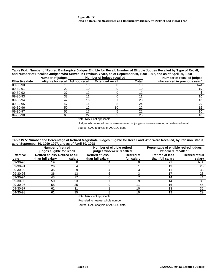<span id="page-40-0"></span>**Table IV.4: Number of Retired Bankruptcy Judges Eligible for Recall, Number of Eligible Judges Recalled by Type of Recall, and Number of Recalled Judges Who Served in Previous Years, as of September 30, 1990-1997, and as of April 30, 1998**

|                       | <b>Number of judges</b>           |    | Number of judges recalled |              | Number of recalled judges   |
|-----------------------|-----------------------------------|----|---------------------------|--------------|-----------------------------|
| <b>Effective date</b> | eligible for recall Ad hoc recall |    | Extended recall           | <b>Total</b> | who served in previous year |
| 09-30-90              |                                   |    |                           | 10           | N/A                         |
| 09-30-91              | 22                                | 10 |                           | 10           | 10                          |
| 09-30-92              |                                   | 12 |                           | 12           |                             |
| 09-30-93              | 33                                |    |                           |              | 10                          |
| 09-30-94              | 42                                | 16 |                           | 23           | 10                          |
| 09-30-95              | -47                               | 16 |                           | 24           | 20                          |
| 09-30-96              | 50                                | 12 | 10                        | 22           | 19                          |
| 09-30-97              | 55                                |    |                           | 22           | 20                          |
| 04-30-98              | 60                                | 22 |                           | 25           | 18                          |

Note:  $N/A$  = not applicable

<sup>a</sup>Judges whose recall terms were renewed or judges who were serving on extended recall.

Source: GAO analysis of AOUSC data.

**Table IV.5: Number and Percentage of Retired Magistrate Judges Eligible for Recall and Who Were Recalled, by Pension Status, as of September 30, 1990-1997, and as of April 30, 1998**

|                          | Number of retired<br>judges eligible for recall     |        | Number of eligible retired<br>judges who were recalled |                                  | Percentage of eligible retired judges<br>who were recalled <sup>®</sup> |                                  |  |
|--------------------------|-----------------------------------------------------|--------|--------------------------------------------------------|----------------------------------|-------------------------------------------------------------------------|----------------------------------|--|
| <b>Effective</b><br>date | Retired at less Retired at full<br>than full salary | salarv | <b>Retired at less</b><br>than full salary             | <b>Retired at</b><br>full salary | <b>Retired at less</b><br>than full salary                              | <b>Retired at full</b><br>salary |  |
| 09-30-90                 | 19                                                  |        |                                                        |                                  | 21                                                                      | N/A                              |  |
| 09-30-91                 | 26                                                  |        |                                                        |                                  | 19                                                                      | 25                               |  |
| 09-30-92                 | 35                                                  |        |                                                        |                                  |                                                                         | 33                               |  |
| 09-30-93                 | 36                                                  | 13     |                                                        |                                  |                                                                         | 23                               |  |
| 09-30-94                 | 43                                                  |        |                                                        |                                  | 14                                                                      | 41                               |  |
| 09-30-95                 | 50                                                  | 23     |                                                        |                                  | 14                                                                      | 39                               |  |
| 09-30-96                 | 58                                                  | 25     |                                                        |                                  | 16                                                                      | 44                               |  |
| 09-30-97                 | 61                                                  | 31     |                                                        | 10                               | 13                                                                      | 32                               |  |
| 04-30-98                 | 61                                                  | 35     |                                                        | 10                               |                                                                         | 29                               |  |

Note: N/A = not applicable

<sup>a</sup>Rounded to nearest whole number.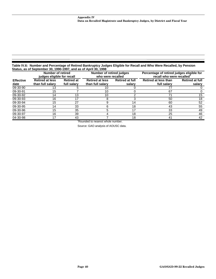<span id="page-41-0"></span>**Table IV.6: Number and Percentage of Retired Bankruptcy Judges Eligible for Recall and Who Were Recalled, by Pension Status, as of September 30, 1990-1997, and as of April 30, 1998**

|                          | Number of retired<br>judges eligible for recall |                                  | <b>Number of retired judges</b><br>who were recalled |                                  | Percentage of retired judges eligible for<br>recall who were recalled <sup>®</sup> |                                  |  |
|--------------------------|-------------------------------------------------|----------------------------------|------------------------------------------------------|----------------------------------|------------------------------------------------------------------------------------|----------------------------------|--|
| <b>Effective</b><br>date | <b>Retired at less</b><br>than full salary      | <b>Retired at</b><br>full salarv | <b>Retired at less</b><br>than full salary           | <b>Retired at full</b><br>salarv | Retired at less than<br>full salary                                                | <b>Retired at full</b><br>salary |  |
| 09-30-90                 | 13                                              |                                  | 10                                                   |                                  |                                                                                    |                                  |  |
| 09-30-91                 | 15                                              |                                  | 10                                                   |                                  | 67                                                                                 |                                  |  |
| 09-30-92                 | 14                                              | 13                               | 10                                                   |                                  | 71                                                                                 | 15                               |  |
| 09-30-93                 | 16                                              |                                  |                                                      |                                  | 50                                                                                 | 18                               |  |
| 09-30-94                 | 15                                              | 27                               |                                                      | 14                               | 60                                                                                 | 52                               |  |
| 09-30-95                 | 14                                              | 33                               |                                                      | 18                               | 43                                                                                 | 55                               |  |
| 09-30-96                 | 15                                              | 35                               |                                                      |                                  | 33                                                                                 | 49                               |  |
| 09-30-97                 | 16                                              | 39                               |                                                      | 18                               | 25                                                                                 | 46                               |  |
| 04-30-98                 | 17                                              | 43                               |                                                      | 18                               | 41                                                                                 | 42                               |  |

<sup>a</sup>Rounded to nearest whole number.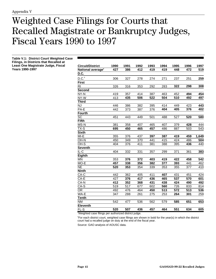#### <span id="page-42-0"></span>Weighted Case Filings for Courts that Recalled Magistrate or Bankruptcy Judges, Fiscal Years 1990 to 1997

| Table V.1: District Court Weighted Case |  |
|-----------------------------------------|--|
| Filings, in Districts that Recalled at  |  |
| Least One Magistrate Judge, Fiscal      |  |
| Years 1990-1997                         |  |
|                                         |  |

| <b>Circuit/District</b>           | 1990             | 1991 | 1992             | 1993 | 1994 | 1995 | 1996 | 1997             |
|-----------------------------------|------------------|------|------------------|------|------|------|------|------------------|
| National average <sup>®</sup>     | $\overline{427}$ | 386  | $\overline{412}$ | 419  | 419  | 448  | 472  | $\overline{519}$ |
| D.C.                              |                  |      |                  |      |      |      |      |                  |
| $D.C.^{b}$                        | 306              | 327  | 278              | 274  | 271  | 237  | 251  | 259              |
| <b>First</b>                      |                  |      |                  |      |      |      |      |                  |
| RI                                | 326              | 316  | 353              | 292  | 283  | 322  | 298  | 308              |
| Second                            |                  |      |                  |      |      |      |      |                  |
| NY-N                              | 419              | 357  | 414              | 387  | 463  | 452  | 494  | 454              |
| NY-W                              | 413              | 435  | 506              | 522  | 504  | 510  | 492  | 497              |
| <b>Third</b>                      |                  |      |                  |      |      |      |      |                  |
| NJ                                | 446              | 386  | 382              | 395  | 414  | 449  | 423  | 443              |
| PA-E                              | 442              | 373  | 387              | 376  | 404  | 405  | 376  | 402              |
| <b>Fourth</b>                     |                  |      |                  |      |      |      |      |                  |
| SC                                | 451              | 443  | 449              | 501  | 488  | 527  | 520  | 580              |
| <b>Fifth</b>                      |                  |      |                  |      |      |      |      |                  |
| MS-N                              | 381              | 358  | 407              | 465  | 407  | 379  | 428  | 444              |
| TX-S                              | 695              | 450  | 465              | 457  | 486  | 887  | 503  | 543              |
| <b>Sixth</b>                      |                  |      |                  |      |      |      |      |                  |
| MI-E                              | 355              | 376  | 437              | 397  | 387  | 419  | 459  | 1,649            |
| OH-N                              | 450              | 349  | 370              | 441  | 415  | 424  | 486  | 504              |
| OH-S                              | 404              | 376  | 411              | 381  | 388  | 395  | 436  | 440              |
| <b>Seventh</b>                    |                  |      |                  |      |      |      |      |                  |
| IL-C                              | 404              | 332  | 331              | 357  | 299  | 371  | 361  | 383              |
| <b>Eighth</b>                     |                  |      |                  |      |      |      |      |                  |
| <b>MN</b>                         | 353              | 376  | 372              | 403  | 419  | 422  | 458  | 542              |
| MO-E                              | 457              | 338  | 356              | 382  | 377  | 393  | 441  | 462              |
| $\overline{\sf NE}$               | 520              | 353  | 354              | 339  | 353  | 355  | 377  | 410              |
| <b>Ninth</b>                      |                  |      |                  |      |      |      |      |                  |
| CA-C                              | 442              | 362  | 405              | 411  | 407  | 431  | 451  | 424              |
| CA-E                              | 427              | 376  | 417              | 436  | 465  | 537  | 570  | 601              |
| CA-N                              | 412              | 352  | 368              | 431  | 438  | 424  | 490  | 492              |
| CA-S                              | 519              | 517  | 677              | 602  | 560  | 726  | 833  | 814              |
| $\overline{\overline{\text{OR}}}$ | 492              | 476  | 464              | 450  | 513  | 572  | 513  | 536              |
| WA-E                              | 347              | 288  | 261              | 275  | 253  | 264  | 301  | 259              |
| <b>Tenth</b>                      |                  |      |                  |      |      |      |      |                  |
| <b>NM</b>                         | 542              | 477  | 536              | 562  | 579  | 585  | 651  | 653              |
| <b>Eleventh</b>                   |                  |      |                  |      |      |      |      |                  |
| FL-S                              | 520              | 507  | 436              | 457  | 464  | 551  | 634  | 605              |

<sup>a</sup>Weighted case filings per authorized district judge.

b For each district court, weighted case filings are shown in bold for the year(s) in which the district court had a recalled judge on duty at the end of the fiscal year.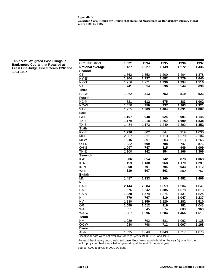<span id="page-43-0"></span>

| Table V.2: Weighted Case Filings in<br><b>Bankruptcy Courts that Recalled at</b> | <b>Circuit/District</b>    | 1992 <sup>a</sup> | 1994             | 1995             | 1996  | 1997                |
|----------------------------------------------------------------------------------|----------------------------|-------------------|------------------|------------------|-------|---------------------|
| Least One Judge, Fiscal Years 1992 and                                           | <b>National average</b>    | 1,437             | 1,227            | 1,149            | 1,272 | 1,436               |
| 1994-1997                                                                        | <b>Second</b>              |                   |                  |                  |       |                     |
|                                                                                  | $\overline{\text{CT}}$     | 1,662             | 1,552            | 1,200            | 1,404 | 1,378               |
|                                                                                  | $NY-Eb$                    | 1,904             | 1,737            | 1,682            | 1,729 | 1,640               |
|                                                                                  | $NY-S$                     | 1,916             | 1,271            | 1,396            | 1,394 | 1,510               |
|                                                                                  | VT                         | $\overline{741}$  | $\overline{514}$ | 536              | 544   | 639                 |
|                                                                                  | <b>Third</b>               |                   |                  |                  |       |                     |
|                                                                                  | PA-W                       | 1,062             | 813              | 752              | 819   | 923                 |
|                                                                                  | <b>Fourth</b>              |                   |                  |                  |       |                     |
|                                                                                  | $NC-M$                     | 821               | 612              | 675              | 883   | 1,062               |
|                                                                                  | $NC-W$                     | 1,470             | 950              | 937              | 1,363 | 2,321               |
|                                                                                  | VA-E                       | 1,935             | 1,389            | 1,484            | 1,631 | 1,887               |
|                                                                                  | <b>Fifth</b>               |                   |                  |                  |       |                     |
|                                                                                  | $LA-E$                     | 1,197             | 948              | 924              | 991   | $\overline{1,1}$ 45 |
|                                                                                  | $TX-E$                     | 1,179             | 1,218            | 1,392            | 1,699 | 1,838               |
|                                                                                  | TX-S                       | 1,484             | 1,173            | 1,249            | 1,392 | 1,352               |
|                                                                                  | <b>Sixth</b>               |                   |                  |                  |       |                     |
|                                                                                  | $KY-E$                     | 1,236             | 802              | 844              | 919   | 1,030               |
|                                                                                  | $M-E$                      | 2,067             | 1,811            | 1,713            | 1,679 | 2,104               |
|                                                                                  | $M-W$                      | 1,215             | 897              | 903              | 1,013 | 1,266               |
|                                                                                  | OH-N                       | 1,032             | 699              | 788              | 747   | 871                 |
|                                                                                  | $OH-S$                     | 1,067             | 747              | 815              | 949   | 1,009               |
|                                                                                  | $TN-E$                     | 1,100             | 942              | 854              | 1,166 | 1,306               |
|                                                                                  | <b>Seventh</b>             |                   |                  |                  |       |                     |
|                                                                                  | $\overline{IL-C}$          | 886               | 654              | 742              | 873   | 1,068               |
|                                                                                  | $IL-N$                     | 1,199             | 1,130            | 968              | 1,179 | 1,291               |
|                                                                                  | $\overline{\mathsf{IN-N}}$ | 1,098             | 791              | 794              | 933   | 1,112               |
|                                                                                  | $WI-E$                     | 619               | 507              | 563              | 800   | 757                 |
|                                                                                  | Eighth                     |                   |                  |                  |       |                     |
|                                                                                  | $\overline{MN}$            | 1,487             | 1,333            | 1,260            | 1,452 | 1,466               |
|                                                                                  | <b>Ninth</b>               |                   |                  |                  |       |                     |
|                                                                                  | $CA-C$                     | 2,144             | 2,084            | 1,859            | 1,904 | 1,847               |
|                                                                                  | $CA-E$                     | 1,576             | 1,542            | 1,385            | 1,578 | 1,813               |
|                                                                                  | $CA-N$                     | 1,828             | 1,574            | 1,374            | 1,431 | 1,524               |
|                                                                                  | $\overline{H}$             | 779               | 767              | 819              | 1,047 | 1,237               |
|                                                                                  | $\overline{NV}$            | 1,380             | 1,150            | 1,120            | 1,282 | 1,510               |
|                                                                                  | $\overline{OR}$            | 1,050             | 1,012            | $\overline{916}$ | 981   | 1,043               |
|                                                                                  | WA-E                       | 821               | 645              | 674              | 808   | 969                 |
|                                                                                  | WA-W                       | 1,267             | 1,296            | 1,204            | 1,466 | 1,611               |
|                                                                                  | <b>Tenth</b>               |                   |                  |                  |       |                     |
|                                                                                  | <b>NM</b>                  | 1,029             | 792              | 681              | 1,062 | 1,138               |
|                                                                                  | $OK-W$                     | 930               | 768              | $\overline{712}$ | 1,007 | 1,198               |
|                                                                                  | <b>Eleventh</b>            |                   |                  |                  |       |                     |
|                                                                                  | AL-N                       | 1,595             | 1,649            | 1,843            | 1,717 | 1,876               |

a Fiscal year data were not available for fiscal years 1990, 1991, and 1993.

<sup>b</sup>For each bankruptcy court, weighted case filings are shown in bold for the year(s) in which the bankruptcy court had a recalled judge on duty at the end of the fiscal year.

Source: GAO analysis of AOUSC data.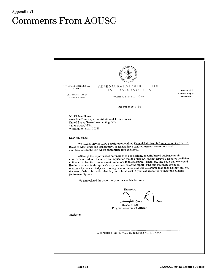### <span id="page-44-0"></span>Comments From AOUSC

| LEONIDAS RALPH MECHAM<br>Director                                                                            | ADMINISTRATIVE OFFICE OF THE<br>UNITED STATES COURTS                                                                                                                                                                                                                                                                                                                                                                                                                                                                                                                                                                           | DUANE R. LEE                    |
|--------------------------------------------------------------------------------------------------------------|--------------------------------------------------------------------------------------------------------------------------------------------------------------------------------------------------------------------------------------------------------------------------------------------------------------------------------------------------------------------------------------------------------------------------------------------------------------------------------------------------------------------------------------------------------------------------------------------------------------------------------|---------------------------------|
| CLARENCE A. LEE, JR.<br>Associate Director                                                                   | WASHINGTON, D.C. 20544                                                                                                                                                                                                                                                                                                                                                                                                                                                                                                                                                                                                         | Office of Program<br>Assessment |
|                                                                                                              | December 16, 1998                                                                                                                                                                                                                                                                                                                                                                                                                                                                                                                                                                                                              |                                 |
| Mr. Richard Stana<br>United States General Accounting Office<br>441 G Street, N.W.<br>Washington, D.C. 20548 | Associate Director, Administration of Justice Issues                                                                                                                                                                                                                                                                                                                                                                                                                                                                                                                                                                           |                                 |
| Dear Mr. Stana:                                                                                              |                                                                                                                                                                                                                                                                                                                                                                                                                                                                                                                                                                                                                                |                                 |
|                                                                                                              | We have reviewed GAO's draft report entitled Federal Judiciary: Information on the Use of<br>Recalled Magistrate and Bankruptcy Judges and have hand-written our corrections and<br>modifications to the text where appropriate (see enclosed).                                                                                                                                                                                                                                                                                                                                                                                |                                 |
| Retirement System.                                                                                           | Although the report makes no findings or conclusions, an uninformed audience might<br>nevertheless read into the report an implication that the judiciary has not tapped a resource available<br>to it when in fact there are inherent limitations to this resource. Therefore, one point that we would<br>like incorporated in the agency's response section of the report is the fact that there are good<br>reasons why recalled judges are not a greater or more predictable resource than they already are, not<br>the least of which is the fact that they must be at least 65 years of age to retire under the Judicial |                                 |
|                                                                                                              | We appreciated the opportunity to review this document.                                                                                                                                                                                                                                                                                                                                                                                                                                                                                                                                                                        |                                 |
|                                                                                                              | Sincerely,<br>Duane R. Lee<br>Program Assessment Officer                                                                                                                                                                                                                                                                                                                                                                                                                                                                                                                                                                       |                                 |
| Enclosure                                                                                                    |                                                                                                                                                                                                                                                                                                                                                                                                                                                                                                                                                                                                                                |                                 |
|                                                                                                              |                                                                                                                                                                                                                                                                                                                                                                                                                                                                                                                                                                                                                                |                                 |
|                                                                                                              | A TRADITION OF SERVICE TO THE FEDERAL JUDICIARY                                                                                                                                                                                                                                                                                                                                                                                                                                                                                                                                                                                |                                 |
|                                                                                                              |                                                                                                                                                                                                                                                                                                                                                                                                                                                                                                                                                                                                                                |                                 |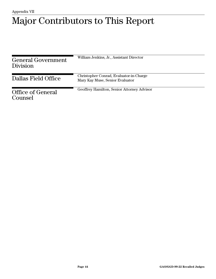## <span id="page-45-0"></span>Major Contributors to This Report

| General Government<br><b>Division</b> | William Jenkins, Jr., Assistant Director                                   |
|---------------------------------------|----------------------------------------------------------------------------|
| Dallas Field Office                   | Christopher Conrad, Evaluator-in-Charge<br>Mary Kay Muse, Senior Evaluator |
| Office of General<br>Counsel          | Geoffrey Hamilton, Senior Attorney Advisor                                 |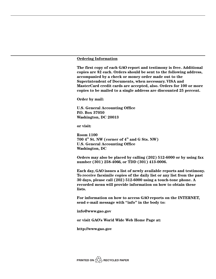#### **Ordering Information**

**The first copy of each GAO report and testimony is free. Additional copies are \$2 each. Orders should be sent to the following address, accompanied by a check or money order made out to the Superintendent of Documents, when necessary. VISA and MasterCard credit cards are accepted, also. Orders for 100 or more copies to be mailed to a single address are discounted 25 percent.**

**Order by mail:**

**U.S. General Accounting Office P.O. Box 37050 Washington, DC 20013**

**or visit:**

**Room 1100 700 4th St. NW (corner of 4th and G Sts. NW) U.S. General Accounting Office Washington, DC**

**Orders may also be placed by calling (202) 512-6000 or by using fax number (301) 258-4066, or TDD (301) 413-0006.**

**Each day, GAO issues a list of newly available reports and testimony. To receive facsimile copies of the daily list or any list from the past 30 days, please call (202) 512-6000 using a touch-tone phone. A recorded menu will provide information on how to obtain these lists.**

**For information on how to access GAO reports on the INTERNET, send e-mail message with "info" in the body to:**

**info@www.gao.gov**

**or visit GAO's Wor**l**d Wide Web Home Page at:**

**http://www.gao.gov**